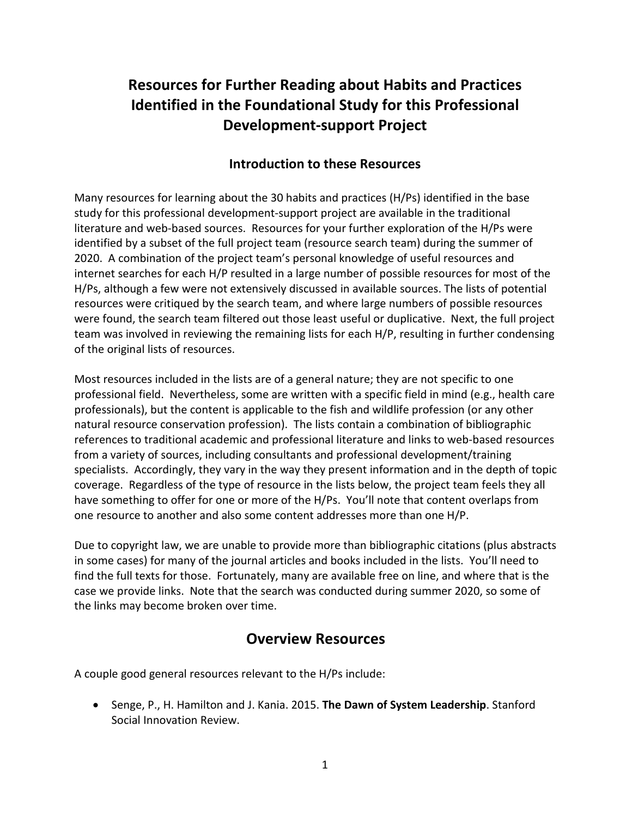# **Resources for Further Reading about Habits and Practices Identified in the Foundational Study for this Professional Development-support Project**

### **Introduction to these Resources**

Many resources for learning about the 30 habits and practices (H/Ps) identified in the base study for this professional development-support project are available in the traditional literature and web-based sources. Resources for your further exploration of the H/Ps were identified by a subset of the full project team (resource search team) during the summer of 2020. A combination of the project team's personal knowledge of useful resources and internet searches for each H/P resulted in a large number of possible resources for most of the H/Ps, although a few were not extensively discussed in available sources. The lists of potential resources were critiqued by the search team, and where large numbers of possible resources were found, the search team filtered out those least useful or duplicative. Next, the full project team was involved in reviewing the remaining lists for each H/P, resulting in further condensing of the original lists of resources.

Most resources included in the lists are of a general nature; they are not specific to one professional field. Nevertheless, some are written with a specific field in mind (e.g., health care professionals), but the content is applicable to the fish and wildlife profession (or any other natural resource conservation profession). The lists contain a combination of bibliographic references to traditional academic and professional literature and links to web-based resources from a variety of sources, including consultants and professional development/training specialists. Accordingly, they vary in the way they present information and in the depth of topic coverage. Regardless of the type of resource in the lists below, the project team feels they all have something to offer for one or more of the H/Ps. You'll note that content overlaps from one resource to another and also some content addresses more than one H/P.

Due to copyright law, we are unable to provide more than bibliographic citations (plus abstracts in some cases) for many of the journal articles and books included in the lists. You'll need to find the full texts for those. Fortunately, many are available free on line, and where that is the case we provide links. Note that the search was conducted during summer 2020, so some of the links may become broken over time.

### **Overview Resources**

A couple good general resources relevant to the H/Ps include:

• Senge, P., H. Hamilton and J. Kania. 2015. **The Dawn of System Leadership**. Stanford Social Innovation Review.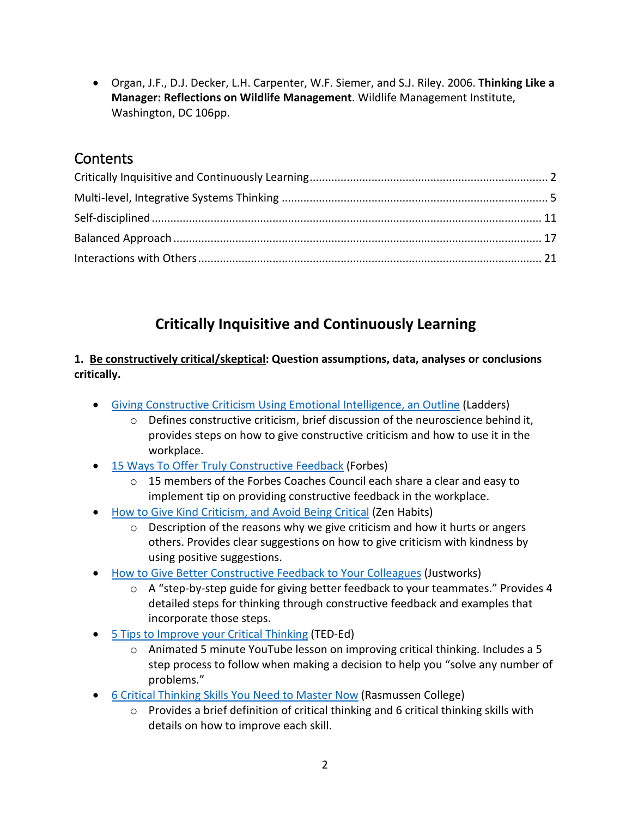• Organ, J.F., D.J. Decker, L.H. Carpenter, W.F. Siemer, and S.J. Riley. 2006. **Thinking Like a Manager: Reflections on Wildlife Management**. Wildlife Management Institute, Washington, DC 106pp.

### **Contents**

# **Critically Inquisitive and Continuously Learning**

#### <span id="page-1-0"></span>**1. Be constructively critical/skeptical: Question assumptions, data, analyses or conclusions critically.**

- Giving Constructive Criticism [Using Emotional Intelligence, an Outline](https://www.theladders.com/career-advice/how-to-give-constructive-criticism) (Ladders)
	- o Defines constructive criticism, brief discussion of the neuroscience behind it, provides steps on how to give constructive criticism and how to use it in the workplace.
- 15 Ways To Offer [Truly Constructive Feedback](https://www.forbes.com/sites/forbescoachescouncil/2017/06/19/15-ways-to-offer-truly-constructive-feedback/#366c50936e9b) (Forbes)
	- $\circ$  15 members of the Forbes Coaches Council each share a clear and easy to implement tip on providing constructive feedback in the workplace.
- [How to Give Kind Criticism, and Avoid Being Critical](https://zenhabits.net/how-to-give-kind-criticism-and-avoid-being-critical/) (Zen Habits)
	- $\circ$  Description of the reasons why we give criticism and how it hurts or angers others. Provides clear suggestions on how to give criticism with kindness by using positive suggestions.
- [How to Give Better Constructive Feedback to Your Colleagues](https://justworks.com/blog/how-to-give-effective-feedback-your-colleagues) (Justworks)
	- o A "step-by-step guide for giving better feedback to your teammates." Provides 4 detailed steps for thinking through constructive feedback and examples that incorporate those steps.
- [5 Tips to Improve your Critical Thinking](https://www.youtube.com/watch?v=dItUGF8GdTw) (TED-Ed)
	- $\circ$  Animated 5 minute YouTube lesson on improving critical thinking. Includes a 5 step process to follow when making a decision to help you "solve any number of problems."
- [6 Critical Thinking Skills You Need to Master Now](https://www.rasmussen.edu/student-experience/college-life/critical-thinking-skills-to-master-now/) (Rasmussen College)
	- $\circ$  Provides a brief definition of critical thinking and 6 critical thinking skills with details on how to improve each skill.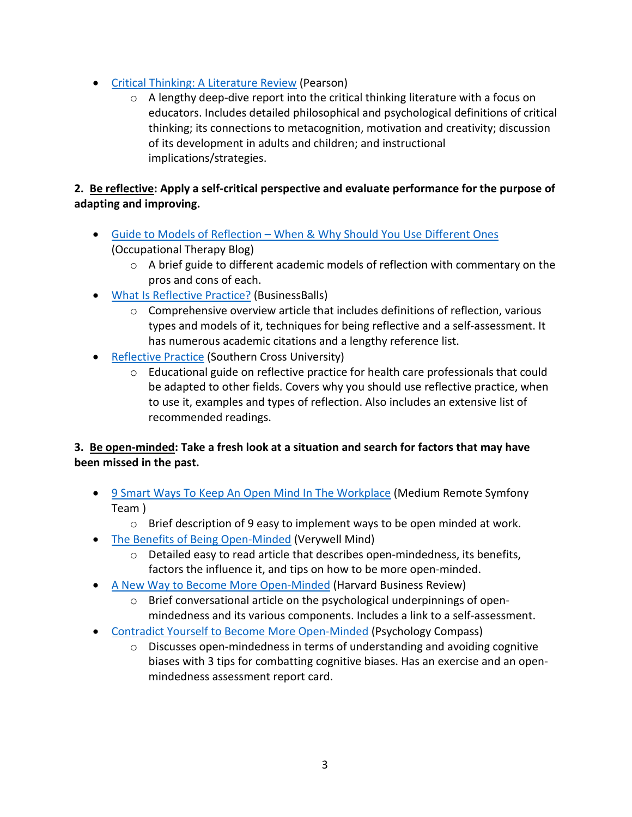- [Critical Thinking: A Literature Review](https://www.google.com/url?sa=t&rct=j&q=&esrc=s&source=web&cd=&ved=2ahUKEwj09Zig1pDrAhXNZc0KHV6NDX4QFjAPegQICBAB&url=https%3A%2F%2Fimages.pearsonassessments.com%2Fimages%2Ftmrs%2FCriticalThinkingReviewFINAL.pdf&usg=AOvVaw3_WBu-C5jdtPVOdSiarBVT) (Pearson)
	- $\circ$  A lengthy deep-dive report into the critical thinking literature with a focus on educators. Includes detailed philosophical and psychological definitions of critical thinking; its connections to metacognition, motivation and creativity; discussion of its development in adults and children; and instructional implications/strategies.

#### **2. Be reflective: Apply a self-critical perspective and evaluate performance for the purpose of adapting and improving.**

- Guide to Models of Reflection [When & Why Should You Use Different Ones](https://lifelonglearningwithot.wordpress.com/2016/05/02/different-models-of-reflection-using-them-to-help-me-reflect/) (Occupational Therapy Blog)
	- $\circ$  A brief guide to different academic models of reflection with commentary on the pros and cons of each.
- [What Is Reflective Practice?](https://www.businessballs.com/self-awareness/reflective-practice/) (BusinessBalls)
	- o Comprehensive overview article that includes definitions of reflection, various types and models of it, techniques for being reflective and a self-assessment. It has numerous academic citations and a lengthy reference list.
- [Reflective](https://libguides.scu.edu.au/reflectivepractice/home) Practice (Southern Cross University)
	- $\circ$  Educational guide on reflective practice for health care professionals that could be adapted to other fields. Covers why you should use reflective practice, when to use it, examples and types of reflection. Also includes an extensive list of recommended readings.

#### **3. Be open-minded: Take a fresh look at a situation and search for factors that may have been missed in the past.**

- [9 Smart Ways To Keep An Open Mind In The Workplace](https://medium.com/remote-symfony-team/9-smart-ways-to-keep-an-open-mind-in-the-workplace-2af41967812c) (Medium Remote Symfony Team )
	- $\circ$  Brief description of 9 easy to implement ways to be open minded at work.
- [The Benefits of Being Open-Minded](https://www.verywellmind.com/be-more-open-minded-4690673) (Verywell Mind)
	- $\circ$  Detailed easy to read article that describes open-mindedness, its benefits, factors the influence it, and tips on how to be more open-minded.
- [A New Way to Become More Open-Minded](https://hbr.org/2018/11/a-new-way-to-become-more-open-minded?registration=success) (Harvard Business Review)
	- o Brief conversational article on the psychological underpinnings of openmindedness and its various components. Includes a link to a self-assessment.
- [Contradict Yourself to Become More Open-Minded](https://psychologycompass.com/blog/open-minded/) (Psychology Compass)
	- o Discusses open-mindedness in terms of understanding and avoiding cognitive biases with 3 tips for combatting cognitive biases. Has an exercise and an openmindedness assessment report card.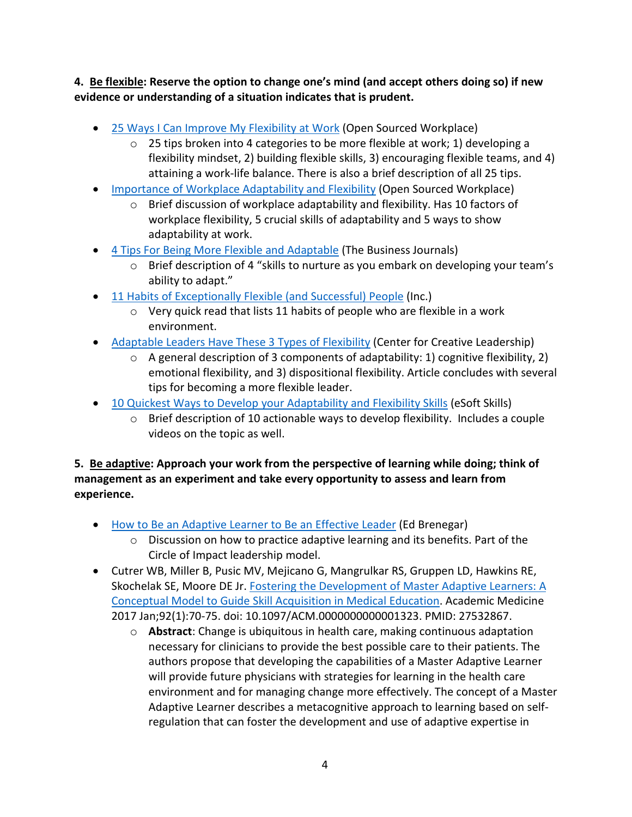**4. Be flexible: Reserve the option to change one's mind (and accept others doing so) if new evidence or understanding of a situation indicates that is prudent.**

- [25 Ways I Can Improve My Flexibility at Work](https://www.opensourcedworkplace.com/news/25-ways-i-can-improve-my-flexibility-at-work) (Open Sourced Workplace)
	- $\circ$  25 tips broken into 4 categories to be more flexible at work; 1) developing a flexibility mindset, 2) building flexible skills, 3) encouraging flexible teams, and 4) attaining a work-life balance. There is also a brief description of all 25 tips.
- [Importance of Workplace Adaptability and Flexibility](https://www.opensourcedworkplace.com/news/importance-of-workplace-adaptability-and-flexibility) (Open Sourced Workplace)
	- o Brief discussion of workplace adaptability and flexibility. Has 10 factors of workplace flexibility, 5 crucial skills of adaptability and 5 ways to show adaptability at work.
- [4 Tips For Being More Flexible and Adaptable](https://www.bizjournals.com/bizjournals/how-to/growth-strategies/2014/03/4-tips-for-being-more-flexible-and-adaptable.html) (The Business Journals)
	- o Brief description of 4 "skills to nurture as you embark on developing your team's ability to adapt."
- 11 Habits of Exceptionally Flexible (and Successful) People (Inc.)
	- o Very quick read that lists 11 habits of people who are flexible in a work environment.
- [Adaptable Leaders Have These 3 Types of Flexibility](https://www.ccl.org/articles/leading-effectively-articles/adaptability-1-idea-3-facts-5-tips/) (Center for Creative Leadership)
	- o A general description of 3 components of adaptability: 1) cognitive flexibility, 2) emotional flexibility, and 3) dispositional flexibility. Article concludes with several tips for becoming a more flexible leader.
- [10 Quickest Ways to Develop your Adaptability and Flexibility Skills](https://esoftskills.com/10-soft-skills-you-need-adaptability-and-flexibility-7/) (eSoft Skills)
	- o Brief description of 10 actionable ways to develop flexibility. Includes a couple videos on the topic as well.

**5. Be adaptive: Approach your work from the perspective of learning while doing; think of management as an experiment and take every opportunity to assess and learn from experience.**

- [How to Be an Adaptive Learner to Be an Effective Leader](https://edbrenegar.com/adaptive-learner-effective-leader/) (Ed Brenegar)
	- o Discussion on how to practice adaptive learning and its benefits. Part of the Circle of Impact leadership model.
- Cutrer WB, Miller B, Pusic MV, Mejicano G, Mangrulkar RS, Gruppen LD, Hawkins RE, Skochelak SE, Moore DE Jr. [Fostering the Development of Master Adaptive Learners: A](https://pubmed.ncbi.nlm.nih.gov/27532867/)  [Conceptual Model to Guide Skill Acquisition in Medical Education.](https://pubmed.ncbi.nlm.nih.gov/27532867/) Academic Medicine 2017 Jan;92(1):70-75. doi: 10.1097/ACM.0000000000001323. PMID: 27532867.
	- o **Abstract**: Change is ubiquitous in health care, making continuous adaptation necessary for clinicians to provide the best possible care to their patients. The authors propose that developing the capabilities of a Master Adaptive Learner will provide future physicians with strategies for learning in the health care environment and for managing change more effectively. The concept of a Master Adaptive Learner describes a metacognitive approach to learning based on selfregulation that can foster the development and use of adaptive expertise in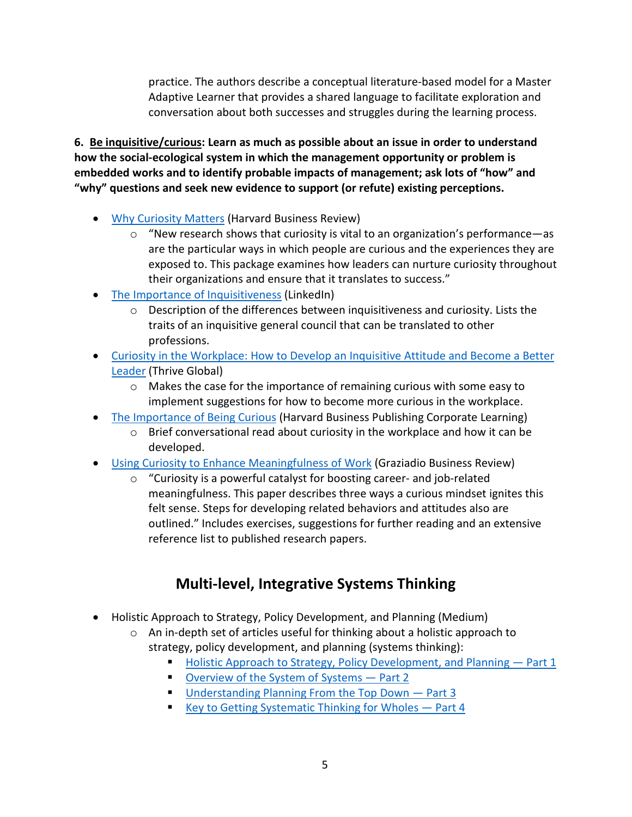practice. The authors describe a conceptual literature-based model for a Master Adaptive Learner that provides a shared language to facilitate exploration and conversation about both successes and struggles during the learning process.

**6. Be inquisitive/curious: Learn as much as possible about an issue in order to understand how the social-ecological system in which the management opportunity or problem is embedded works and to identify probable impacts of management; ask lots of "how" and "why" questions and seek new evidence to support (or refute) existing perceptions.**

- [Why Curiosity Matters](https://hbr.org/2018/09/curiosity) (Harvard Business Review)
	- $\circ$  "New research shows that curiosity is vital to an organization's performance—as are the particular ways in which people are curious and the experiences they are exposed to. This package examines how leaders can nurture curiosity throughout their organizations and ensure that it translates to success."
- [The Importance of Inquisitiveness](https://www.linkedin.com/pulse/importance-inquisitiveness-carole-randolph-jurkash-jd) (LinkedIn)
	- $\circ$  Description of the differences between inquisitiveness and curiosity. Lists the traits of an inquisitive general council that can be translated to other professions.
- [Curiosity in the Workplace: How to Develop an Inquisitive Attitude and Become a Better](https://thriveglobal.com/stories/curiosity-in-the-workplace-how-to-develop-an-inquisitive-attitude-and-become-a-better-leader/)  [Leader](https://thriveglobal.com/stories/curiosity-in-the-workplace-how-to-develop-an-inquisitive-attitude-and-become-a-better-leader/) (Thrive Global)
	- $\circ$  Makes the case for the importance of remaining curious with some easy to implement suggestions for how to become more curious in the workplace.
- [The Importance of Being Curious](https://www.harvardbusiness.org/the-importance-of-being-curious/) (Harvard Business Publishing Corporate Learning)
	- $\circ$  Brief conversational read about curiosity in the workplace and how it can be developed.
- [Using Curiosity to Enhance Meaningfulness of Work](https://gbr.pepperdine.edu/2019/08/using-curiosity-to-enhance-meaningfulness-of-work/) (Graziadio Business Review)
	- o "Curiosity is a powerful catalyst for boosting career- and job-related meaningfulness. This paper describes three ways a curious mindset ignites this felt sense. Steps for developing related behaviors and attitudes also are outlined." Includes exercises, suggestions for further reading and an extensive reference list to published research papers.

# **Multi-level, Integrative Systems Thinking**

- <span id="page-4-0"></span>• Holistic Approach to Strategy, Policy Development, and Planning (Medium)
	- $\circ$  An in-depth set of articles useful for thinking about a holistic approach to strategy, policy development, and planning (systems thinking):
		- [Holistic Approach to Strategy, Policy Development, and Planning —](https://medium.com/@carolsanford/holistic-approach-to-strategy-policy-development-and-planning-part-1-76b57a7ba9af) Part 1
		- [Overview of the System of Systems](https://medium.com/@carolsanford/holistic-approach-to-strategy-policy-development-and-planning-part-2-20b556919f26) Part 2
		- Understanding Planning From the Top Down Part 3
		- Key to Getting Systematic Thinking for Wholes  $-$  Part 4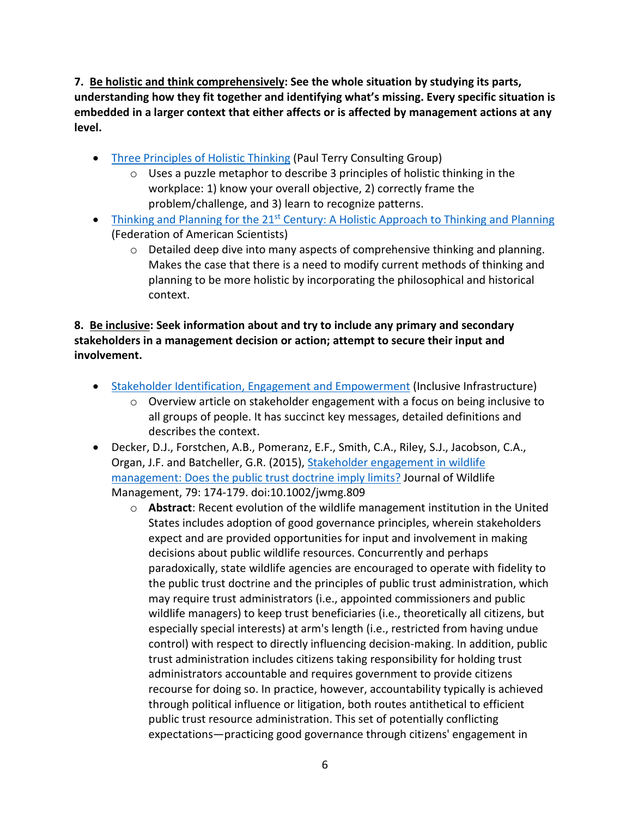**7. Be holistic and think comprehensively: See the whole situation by studying its parts, understanding how they fit together and identifying what's missing. Every specific situation is embedded in a larger context that either affects or is affected by management actions at any level.** 

- [Three Principles of Holistic Thinking](https://www.paulterryconsultinggroup.com/three-principles-of-holistic-thinking) (Paul Terry Consulting Group)
	- o Uses a puzzle metaphor to describe 3 principles of holistic thinking in the workplace: 1) know your overall objective, 2) correctly frame the problem/challenge, and 3) learn to recognize patterns.
- Thinking and Planning for the  $21^{st}$  [Century: A Holistic Approach to Thinking and Planning](https://fas.org/irp/doddir/army/usfk_j2/think.htm) (Federation of American Scientists)
	- o Detailed deep dive into many aspects of comprehensive thinking and planning. Makes the case that there is a need to modify current methods of thinking and planning to be more holistic by incorporating the philosophical and historical context.

#### **8. Be inclusive: Seek information about and try to include any primary and secondary stakeholders in a management decision or action; attempt to secure their input and involvement.**

- [Stakeholder Identification, Engagement and Empowerment](https://inclusiveinfra.gihub.org/action-areas/stakeholder-identification-engagement-and-empowerment/) (Inclusive Infrastructure)
	- $\circ$  Overview article on stakeholder engagement with a focus on being inclusive to all groups of people. It has succinct key messages, detailed definitions and describes the context.
- Decker, D.J., Forstchen, A.B., Pomeranz, E.F., Smith, C.A., Riley, S.J., Jacobson, C.A., Organ, J.F. and Batcheller, G.R. (2015), Stakeholder engagement in wildlife [management: Does the public trust doctrine imply limits?](https://wildlife.onlinelibrary.wiley.com/doi/10.1002/jwmg.809) Journal of Wildlife Management, 79: 174-179. doi:10.1002/jwmg.809
	- o **Abstract**: Recent evolution of the wildlife management institution in the United States includes adoption of good governance principles, wherein stakeholders expect and are provided opportunities for input and involvement in making decisions about public wildlife resources. Concurrently and perhaps paradoxically, state wildlife agencies are encouraged to operate with fidelity to the public trust doctrine and the principles of public trust administration, which may require trust administrators (i.e., appointed commissioners and public wildlife managers) to keep trust beneficiaries (i.e., theoretically all citizens, but especially special interests) at arm's length (i.e., restricted from having undue control) with respect to directly influencing decision-making. In addition, public trust administration includes citizens taking responsibility for holding trust administrators accountable and requires government to provide citizens recourse for doing so. In practice, however, accountability typically is achieved through political influence or litigation, both routes antithetical to efficient public trust resource administration. This set of potentially conflicting expectations—practicing good governance through citizens' engagement in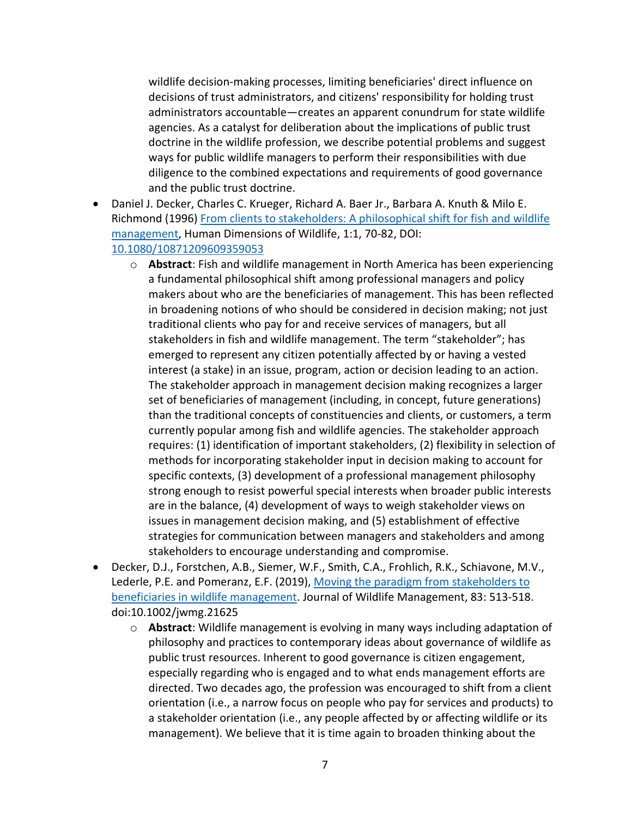wildlife decision-making processes, limiting beneficiaries' direct influence on decisions of trust administrators, and citizens' responsibility for holding trust administrators accountable—creates an apparent conundrum for state wildlife agencies. As a catalyst for deliberation about the implications of public trust doctrine in the wildlife profession, we describe potential problems and suggest ways for public wildlife managers to perform their responsibilities with due diligence to the combined expectations and requirements of good governance and the public trust doctrine.

- Daniel J. Decker, Charles C. Krueger, Richard A. Baer Jr., Barbara A. Knuth & Milo E. Richmond (1996) [From clients to stakeholders: A philosophical shift for fish and](https://www.tandfonline.com/doi/abs/10.1080/10871209609359053) wildlife [management,](https://www.tandfonline.com/doi/abs/10.1080/10871209609359053) Human Dimensions of Wildlife, 1:1, 70-82, DOI: [10.1080/10871209609359053](https://doi.org/10.1080/10871209609359053)
	- o **Abstract**: Fish and wildlife management in North America has been experiencing a fundamental philosophical shift among professional managers and policy makers about who are the beneficiaries of management. This has been reflected in broadening notions of who should be considered in decision making; not just traditional clients who pay for and receive services of managers, but all stakeholders in fish and wildlife management. The term "stakeholder"; has emerged to represent any citizen potentially affected by or having a vested interest (a stake) in an issue, program, action or decision leading to an action. The stakeholder approach in management decision making recognizes a larger set of beneficiaries of management (including, in concept, future generations) than the traditional concepts of constituencies and clients, or customers, a term currently popular among fish and wildlife agencies. The stakeholder approach requires: (1) identification of important stakeholders, (2) flexibility in selection of methods for incorporating stakeholder input in decision making to account for specific contexts, (3) development of a professional management philosophy strong enough to resist powerful special interests when broader public interests are in the balance, (4) development of ways to weigh stakeholder views on issues in management decision making, and (5) establishment of effective strategies for communication between managers and stakeholders and among stakeholders to encourage understanding and compromise.
- Decker, D.J., Forstchen, A.B., Siemer, W.F., Smith, C.A., Frohlich, R.K., Schiavone, M.V., Lederle, P.E. and Pomeranz, E.F. (2019), [Moving the paradigm from stakeholders to](https://wildlife.onlinelibrary.wiley.com/doi/abs/10.1002/jwmg.21625)  [beneficiaries in wildlife management.](https://wildlife.onlinelibrary.wiley.com/doi/abs/10.1002/jwmg.21625) Journal of Wildlife Management, 83: 513-518. doi:10.1002/jwmg.21625
	- o **Abstract**: Wildlife management is evolving in many ways including adaptation of philosophy and practices to contemporary ideas about governance of wildlife as public trust resources. Inherent to good governance is citizen engagement, especially regarding who is engaged and to what ends management efforts are directed. Two decades ago, the profession was encouraged to shift from a client orientation (i.e., a narrow focus on people who pay for services and products) to a stakeholder orientation (i.e., any people affected by or affecting wildlife or its management). We believe that it is time again to broaden thinking about the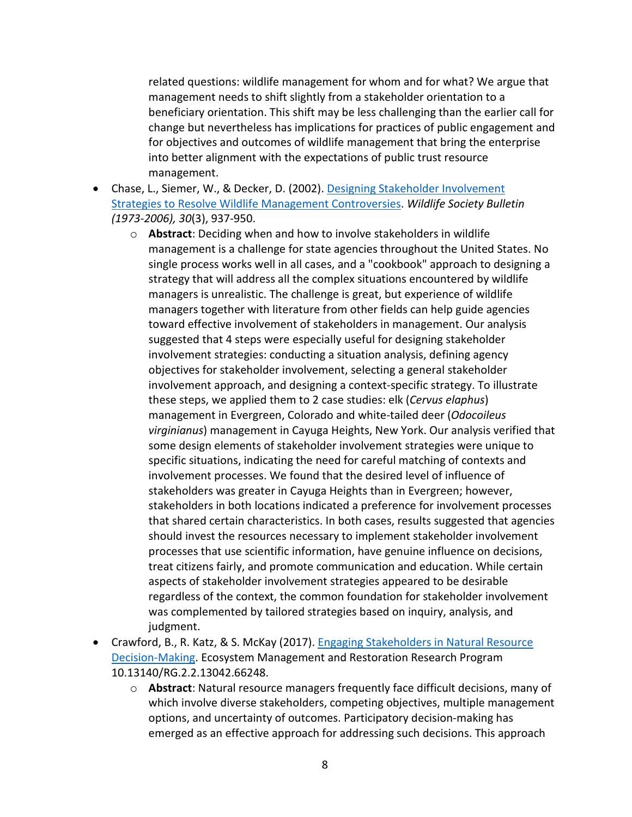related questions: wildlife management for whom and for what? We argue that management needs to shift slightly from a stakeholder orientation to a beneficiary orientation. This shift may be less challenging than the earlier call for change but nevertheless has implications for practices of public engagement and for objectives and outcomes of wildlife management that bring the enterprise into better alignment with the expectations of public trust resource management.

- Chase, L., Siemer, W., & Decker, D. (2002). Designing Stakeholder Involvement [Strategies to Resolve Wildlife Management Controversies.](https://www.jstor.org/stable/3784250?seq=1) *Wildlife Society Bulletin (1973-2006), 30*(3), 937-950.
	- o **Abstract**: Deciding when and how to involve stakeholders in wildlife management is a challenge for state agencies throughout the United States. No single process works well in all cases, and a "cookbook" approach to designing a strategy that will address all the complex situations encountered by wildlife managers is unrealistic. The challenge is great, but experience of wildlife managers together with literature from other fields can help guide agencies toward effective involvement of stakeholders in management. Our analysis suggested that 4 steps were especially useful for designing stakeholder involvement strategies: conducting a situation analysis, defining agency objectives for stakeholder involvement, selecting a general stakeholder involvement approach, and designing a context-specific strategy. To illustrate these steps, we applied them to 2 case studies: elk (*Cervus elaphus*) management in Evergreen, Colorado and white-tailed deer (*Odocoileus virginianus*) management in Cayuga Heights, New York. Our analysis verified that some design elements of stakeholder involvement strategies were unique to specific situations, indicating the need for careful matching of contexts and involvement processes. We found that the desired level of influence of stakeholders was greater in Cayuga Heights than in Evergreen; however, stakeholders in both locations indicated a preference for involvement processes that shared certain characteristics. In both cases, results suggested that agencies should invest the resources necessary to implement stakeholder involvement processes that use scientific information, have genuine influence on decisions, treat citizens fairly, and promote communication and education. While certain aspects of stakeholder involvement strategies appeared to be desirable regardless of the context, the common foundation for stakeholder involvement was complemented by tailored strategies based on inquiry, analysis, and judgment.
- Crawford, B., R. Katz, & S. McKay (2017). Engaging Stakeholders in Natural Resource [Decision-Making.](https://www.researchgate.net/publication/334654491_Engaging_Stakeholders_in_Natural_Resource_Decision-Making) Ecosystem Management and Restoration Research Program 10.13140/RG.2.2.13042.66248.
	- o **Abstract**: Natural resource managers frequently face difficult decisions, many of which involve diverse stakeholders, competing objectives, multiple management options, and uncertainty of outcomes. Participatory decision-making has emerged as an effective approach for addressing such decisions. This approach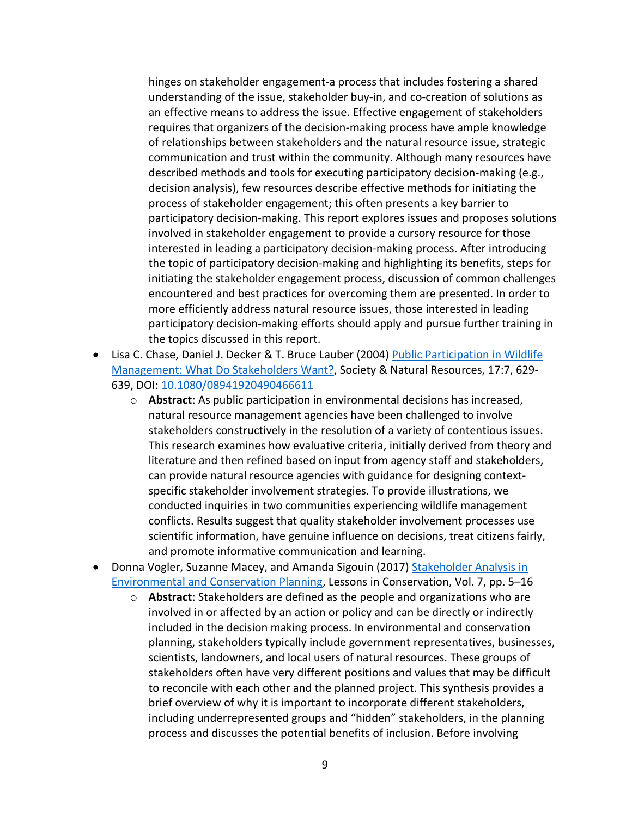hinges on stakeholder engagement-a process that includes fostering a shared understanding of the issue, stakeholder buy-in, and co-creation of solutions as an effective means to address the issue. Effective engagement of stakeholders requires that organizers of the decision-making process have ample knowledge of relationships between stakeholders and the natural resource issue, strategic communication and trust within the community. Although many resources have described methods and tools for executing participatory decision-making (e.g., decision analysis), few resources describe effective methods for initiating the process of stakeholder engagement; this often presents a key barrier to participatory decision-making. This report explores issues and proposes solutions involved in stakeholder engagement to provide a cursory resource for those interested in leading a participatory decision-making process. After introducing the topic of participatory decision-making and highlighting its benefits, steps for initiating the stakeholder engagement process, discussion of common challenges encountered and best practices for overcoming them are presented. In order to more efficiently address natural resource issues, those interested in leading participatory decision-making efforts should apply and pursue further training in the topics discussed in this report.

- Lisa C. Chase, Daniel J. Decker & T. Bruce Lauber (2004) Public Participation in Wildlife [Management: What Do Stakeholders Want?,](https://www.tandfonline.com/doi/abs/10.1080/08941920490466611) Society & Natural Resources, 17:7, 629- 639, DOI: [10.1080/08941920490466611](https://doi.org/10.1080/08941920490466611)
	- o **Abstract**: As public participation in environmental decisions has increased, natural resource management agencies have been challenged to involve stakeholders constructively in the resolution of a variety of contentious issues. This research examines how evaluative criteria, initially derived from theory and literature and then refined based on input from agency staff and stakeholders, can provide natural resource agencies with guidance for designing contextspecific stakeholder involvement strategies. To provide illustrations, we conducted inquiries in two communities experiencing wildlife management conflicts. Results suggest that quality stakeholder involvement processes use scientific information, have genuine influence on decisions, treat citizens fairly, and promote informative communication and learning.
- Donna Vogler, Suzanne Macey, and Amanda Sigouin (2017) [Stakeholder Analysis in](https://www.amnh.org/content/download/158575/2593966/file/LinC7_Stakeholder%20Analysis.pdf)  [Environmental and Conservation Planning,](https://www.amnh.org/content/download/158575/2593966/file/LinC7_Stakeholder%20Analysis.pdf) Lessons in Conservation, Vol. 7, pp. 5–16
	- o **Abstract**: Stakeholders are defined as the people and organizations who are involved in or affected by an action or policy and can be directly or indirectly included in the decision making process. In environmental and conservation planning, stakeholders typically include government representatives, businesses, scientists, landowners, and local users of natural resources. These groups of stakeholders often have very different positions and values that may be difficult to reconcile with each other and the planned project. This synthesis provides a brief overview of why it is important to incorporate different stakeholders, including underrepresented groups and "hidden" stakeholders, in the planning process and discusses the potential benefits of inclusion. Before involving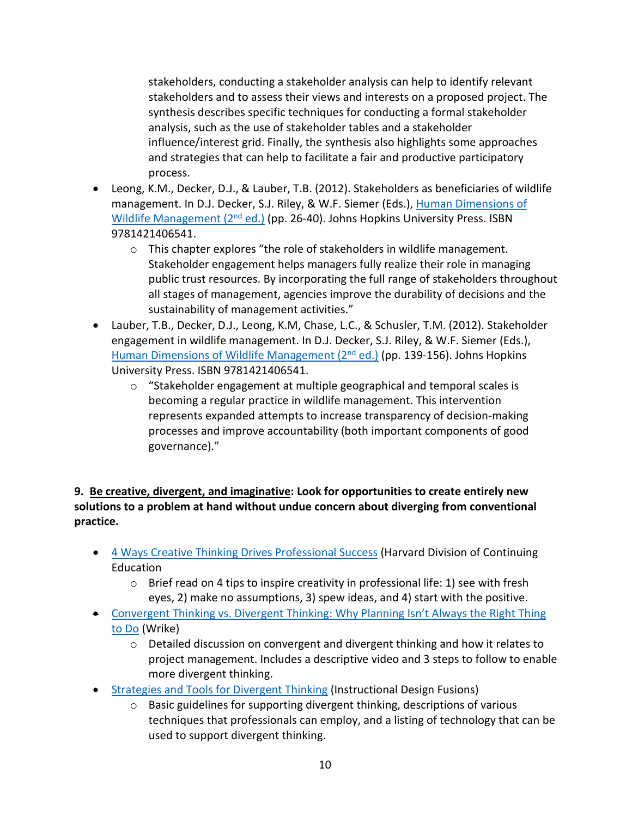stakeholders, conducting a stakeholder analysis can help to identify relevant stakeholders and to assess their views and interests on a proposed project. The synthesis describes specific techniques for conducting a formal stakeholder analysis, such as the use of stakeholder tables and a stakeholder influence/interest grid. Finally, the synthesis also highlights some approaches and strategies that can help to facilitate a fair and productive participatory process.

- Leong, K.M., Decker, D.J., & Lauber, T.B. (2012). Stakeholders as beneficiaries of wildlife management. In D.J. Decker, S.J. Riley, & W.F. Siemer (Eds.), [Human Dimensions of](https://jhupbooks.press.jhu.edu/title/human-dimensions-wildlife-management)  Wildlife Management  $(2^{nd}$  ed.) (pp. 26-40). Johns Hopkins University Press. ISBN 9781421406541.
	- o This chapter explores "the role of stakeholders in wildlife management. Stakeholder engagement helps managers fully realize their role in managing public trust resources. By incorporating the full range of stakeholders throughout all stages of management, agencies improve the durability of decisions and the sustainability of management activities."
- Lauber, T.B., Decker, D.J., Leong, K.M, Chase, L.C., & Schusler, T.M. (2012). Stakeholder engagement in wildlife management. In D.J. Decker, S.J. Riley, & W.F. Siemer (Eds.), Human Dimensions of Wildlife Management (2<sup>nd</sup> ed.) (pp. 139-156). Johns Hopkins University Press. ISBN 9781421406541.
	- o "Stakeholder engagement at multiple geographical and temporal scales is becoming a regular practice in wildlife management. This intervention represents expanded attempts to increase transparency of decision-making processes and improve accountability (both important components of good governance)."

**9. Be creative, divergent, and imaginative: Look for opportunities to create entirely new solutions to a problem at hand without undue concern about diverging from conventional practice.**

- [4 Ways Creative Thinking Drives Professional Success](https://blog.dce.harvard.edu/professional-development/4-ways-creative-thinking-drives-professional-success) (Harvard Division of Continuing Education
	- $\circ$  Brief read on 4 tips to inspire creativity in professional life: 1) see with fresh eyes, 2) make no assumptions, 3) spew ideas, and 4) start with the positive.
- [Convergent Thinking vs. Divergent Thinking: Why Planning Isn't Always the Right Thing](https://www.wrike.com/blog/convergent-thinking-vs-divergent-thinking/)  [to Do](https://www.wrike.com/blog/convergent-thinking-vs-divergent-thinking/) (Wrike)
	- $\circ$  Detailed discussion on convergent and divergent thinking and how it relates to project management. Includes a descriptive video and 3 steps to follow to enable more divergent thinking.
- [Strategies and Tools for Divergent Thinking](https://instructionaldesignfusions.wordpress.com/2010/10/23/strategies-and-tools-for-divergent-thinking/) (Instructional Design Fusions)
	- $\circ$  Basic guidelines for supporting divergent thinking, descriptions of various techniques that professionals can employ, and a listing of technology that can be used to support divergent thinking.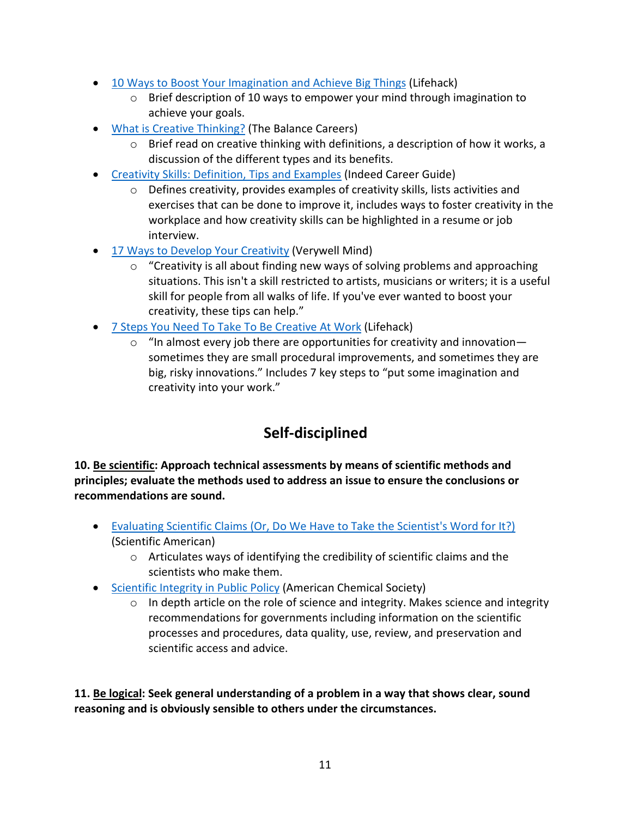- [10 Ways to Boost Your Imagination and Achieve Big Things](https://www.lifehack.org/articles/communication/10-ways-ignite-your-imagination-and-accomplish-big-things.html) (Lifehack)
	- $\circ$  Brief description of 10 ways to empower your mind through imagination to achieve your goals.
- [What is Creative Thinking?](https://www.thebalancecareers.com/creative-thinking-definition-with-examples-2063744) (The Balance Careers)
	- $\circ$  Brief read on creative thinking with definitions, a description of how it works, a discussion of the different types and its benefits.
- Creativity Skills: Definition, Tips and Examples (Indeed Career Guide)
	- o Defines creativity, provides examples of creativity skills, lists activities and exercises that can be done to improve it, includes ways to foster creativity in the workplace and how creativity skills can be highlighted in a resume or job interview.
- [17 Ways to Develop Your Creativity](https://www.verywellmind.com/how-to-boost-your-creativity-2795046) (Verywell Mind)
	- $\circ$  "Creativity is all about finding new ways of solving problems and approaching situations. This isn't a skill restricted to artists, musicians or writers; it is a useful skill for people from all walks of life. If you've ever wanted to boost your creativity, these tips can help."
- [7 Steps You Need To Take To Be Creative At Work](https://www.lifehack.org/articles/productivity/7-steps-you-need-take-creative-work.html) (Lifehack)
	- $\circ$  "In almost every job there are opportunities for creativity and innovation sometimes they are small procedural improvements, and sometimes they are big, risky innovations." Includes 7 key steps to "put some imagination and creativity into your work."

### **Self-disciplined**

<span id="page-10-0"></span>**10. Be scientific: Approach technical assessments by means of scientific methods and principles; evaluate the methods used to address an issue to ensure the conclusions or recommendations are sound.**

- [Evaluating Scientific Claims \(Or, Do We Have to Take the Scientist's Word for It?\)](https://blogs.scientificamerican.com/doing-good-science/evaluating-scientific-claims-or-do-we-have-to-take-the-scientists-word-for-it/) (Scientific American)
	- o Articulates ways of identifying the credibility of scientific claims and the scientists who make them.
- [Scientific Integrity in Public Policy](https://www.acs.org/content/acs/en/policy/publicpolicies/science-policy/scientificintegrity.html) (American Chemical Society)
	- $\circ$  In depth article on the role of science and integrity. Makes science and integrity recommendations for governments including information on the scientific processes and procedures, data quality, use, review, and preservation and scientific access and advice.

**11. Be logical: Seek general understanding of a problem in a way that shows clear, sound reasoning and is obviously sensible to others under the circumstances.**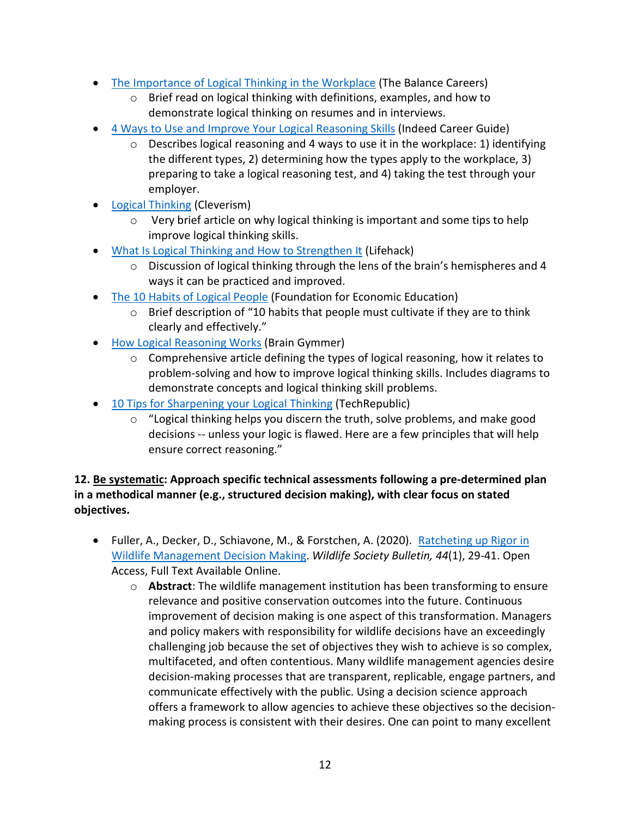- [The Importance of Logical Thinking in the Workplace](https://www.thebalancecareers.com/logical-thinking-definition-with-examples-2059690) (The Balance Careers)
	- o Brief read on logical thinking with definitions, examples, and how to demonstrate logical thinking on resumes and in interviews.
- [4 Ways to Use and Improve Your Logical Reasoning Skills](https://www.indeed.com/career-advice/career-development/improve-your-logical-reasoning) (Indeed Career Guide)
	- Describes logical reasoning and 4 ways to use it in the workplace: 1) identifying the different types, 2) determining how the types apply to the workplace, 3) preparing to take a logical reasoning test, and 4) taking the test through your employer.
- **[Logical Thinking](https://www.cleverism.com/skills-and-tools/logical-thinking/) (Cleverism)** 
	- o Very brief article on why logical thinking is important and some tips to help improve logical thinking skills.
- [What Is Logical Thinking and How to Strengthen It](https://www.lifehack.org/594032/logical-thinking) (Lifehack)
	- o Discussion of logical thinking through the lens of the brain's hemispheres and 4 ways it can be practiced and improved.
- [The 10 Habits of Logical People](https://fee.org/articles/the-10-habits-of-logical-people/) (Foundation for Economic Education)
	- o Brief description of "10 habits that people must cultivate if they are to think clearly and effectively."
- [How Logical Reasoning Works](https://www.braingymmer.com/en/blog/logical-reasoning/) (Brain Gymmer)
	- $\circ$  Comprehensive article defining the types of logical reasoning, how it relates to problem-solving and how to improve logical thinking skills. Includes diagrams to demonstrate concepts and logical thinking skill problems.
- [10 Tips for Sharpening your Logical Thinking](https://www.techrepublic.com/blog/10-things/10-tips-for-sharpening-your-logical-thinking/) (TechRepublic)
	- o "Logical thinking helps you discern the truth, solve problems, and make good decisions -- unless your logic is flawed. Here are a few principles that will help ensure correct reasoning."

#### **12. Be systematic: Approach specific technical assessments following a pre-determined plan in a methodical manner (e.g., structured decision making), with clear focus on stated objectives.**

- Fuller, A., Decker, D., Schiavone, M., & Forstchen, A. (2020). [Ratcheting up Rigor in](https://wildlife.onlinelibrary.wiley.com/doi/full/10.1002/wsb.1064)  [Wildlife Management Decision Making.](https://wildlife.onlinelibrary.wiley.com/doi/full/10.1002/wsb.1064) *Wildlife Society Bulletin, 44*(1), 29-41. Open Access, Full Text Available Online.
	- o **Abstract**: The wildlife management institution has been transforming to ensure relevance and positive conservation outcomes into the future. Continuous improvement of decision making is one aspect of this transformation. Managers and policy makers with responsibility for wildlife decisions have an exceedingly challenging job because the set of objectives they wish to achieve is so complex, multifaceted, and often contentious. Many wildlife management agencies desire decision-making processes that are transparent, replicable, engage partners, and communicate effectively with the public. Using a decision science approach offers a framework to allow agencies to achieve these objectives so the decisionmaking process is consistent with their desires. One can point to many excellent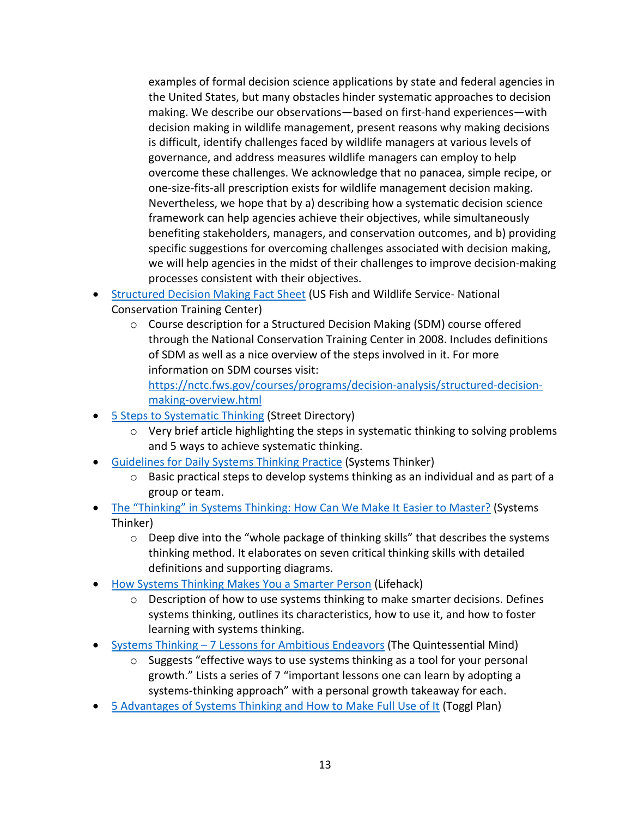examples of formal decision science applications by state and federal agencies in the United States, but many obstacles hinder systematic approaches to decision making. We describe our observations—based on first-hand experiences—with decision making in wildlife management, present reasons why making decisions is difficult, identify challenges faced by wildlife managers at various levels of governance, and address measures wildlife managers can employ to help overcome these challenges. We acknowledge that no panacea, simple recipe, or one-size-fits-all prescription exists for wildlife management decision making. Nevertheless, we hope that by a) describing how a systematic decision science framework can help agencies achieve their objectives, while simultaneously benefiting stakeholders, managers, and conservation outcomes, and b) providing specific suggestions for overcoming challenges associated with decision making, we will help agencies in the midst of their challenges to improve decision-making processes consistent with their objectives.

- [Structured Decision Making Fact Sheet](https://www.google.com/url?sa=t&rct=j&q=&esrc=s&source=web&cd=&ved=2ahUKEwir14e67Y7rAhWhAZ0JHX9cBQoQFjAKegQIAxAB&url=https%3A%2F%2Fwww.fws.gov%2Fscience%2Fdoc%2Fstructured_decision_making_factsheet.pdf&usg=AOvVaw1XO7WY1OQth5_nxWdhFfrO) (US Fish and Wildlife Service- National Conservation Training Center)
	- o Course description for a Structured Decision Making (SDM) course offered through the National Conservation Training Center in 2008. Includes definitions of SDM as well as a nice overview of the steps involved in it. For more information on SDM courses visit:

[https://nctc.fws.gov/courses/programs/decision-analysis/structured-decision](https://nctc.fws.gov/courses/programs/decision-analysis/structured-decision-making-overview.html)[making-overview.html](https://nctc.fws.gov/courses/programs/decision-analysis/structured-decision-making-overview.html)

- [5 Steps to Systematic Thinking](https://www.streetdirectory.com/travel_guide/21970/careers_and_job_hunting/5_steps_to_systematic_thinking.html) (Street Directory)
	- o Very brief article highlighting the steps in systematic thinking to solving problems and 5 ways to achieve systematic thinking.
- [Guidelines for Daily Systems Thinking Practice](https://thesystemsthinker.com/guidelines-for-daily-systems-thinking-practice/) (Systems Thinker)
	- $\circ$  Basic practical steps to develop systems thinking as an individual and as part of a group or team.
- [The "Thinking" in Systems Thinking: How Can We Make It Easier to Master?](https://thesystemsthinker.com/the-thinking-in-systems-thinking-how-can-we-make-it-easier-to-master/) (Systems Thinker)
	- $\circ$  Deep dive into the "whole package of thinking skills" that describes the systems thinking method. It elaborates on seven critical thinking skills with detailed definitions and supporting diagrams.
- [How Systems Thinking Makes You a Smarter Person](https://www.lifehack.org/859334/systems-thinking) (Lifehack)
	- $\circ$  Description of how to use systems thinking to make smarter decisions. Defines systems thinking, outlines its characteristics, how to use it, and how to foster learning with systems thinking.
- Systems Thinking [7 Lessons for Ambitious Endeavors](https://thequintessentialmind.com/7-lessons-on-systems-thinking/) (The Quintessential Mind)
	- $\circ$  Suggests "effective ways to use systems thinking as a tool for your personal growth." Lists a series of 7 "important lessons one can learn by adopting a systems-thinking approach" with a personal growth takeaway for each.
- [5 Advantages of Systems Thinking and How to Make Full Use of It](https://toggl.com/blog/5-advantages-of-systems-thinking) (Toggl Plan)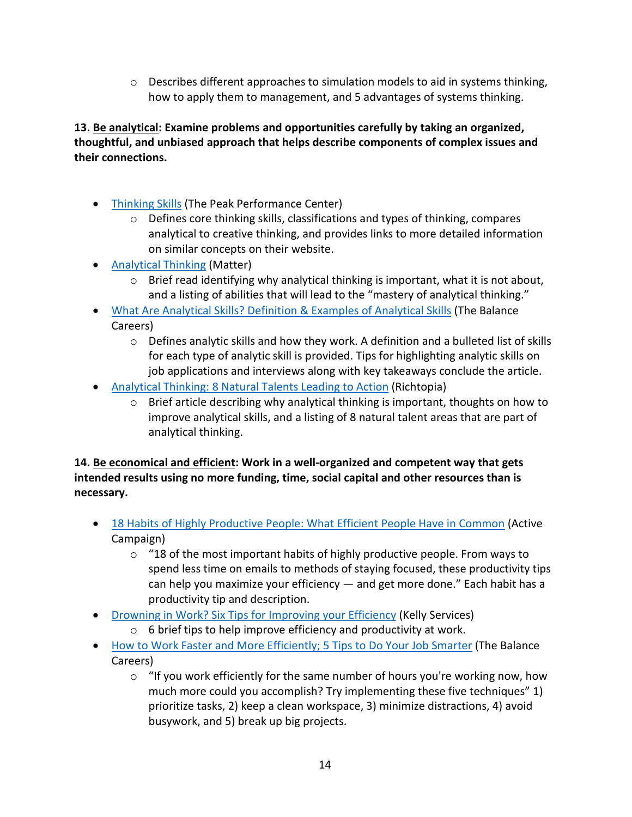$\circ$  Describes different approaches to simulation models to aid in systems thinking, how to apply them to management, and 5 advantages of systems thinking.

**13. Be analytical: Examine problems and opportunities carefully by taking an organized, thoughtful, and unbiased approach that helps describe components of complex issues and their connections.**

- [Thinking Skills](https://thepeakperformancecenter.com/educational-learning/thinking/) (The Peak Performance Center)
	- $\circ$  Defines core thinking skills, classifications and types of thinking, compares analytical to creative thinking, and provides links to more detailed information on similar concepts on their website.
- [Analytical Thinking](https://matterapp.com/analytical-thinking/) (Matter)
	- $\circ$  Brief read identifying why analytical thinking is important, what it is not about, and a listing of abilities that will lead to the "mastery of analytical thinking."
- [What Are Analytical Skills? Definition & Examples of Analytical Skills](https://www.thebalancecareers.com/analytical-skills-list-2063729) (The Balance Careers)
	- $\circ$  Defines analytic skills and how they work. A definition and a bulleted list of skills for each type of analytic skill is provided. Tips for highlighting analytic skills on job applications and interviews along with key takeaways conclude the article.
- [Analytical Thinking: 8 Natural Talents](https://richtopia.com/effective-leadership/analytical-thinking) Leading to Action (Richtopia)
	- $\circ$  Brief article describing why analytical thinking is important, thoughts on how to improve analytical skills, and a listing of 8 natural talent areas that are part of analytical thinking.

**14. Be economical and efficient: Work in a well-organized and competent way that gets intended results using no more funding, time, social capital and other resources than is necessary.**

- 18 Habits of Highly [Productive People: What Efficient People Have in Common](https://www.activecampaign.com/blog/habits-of-highly-productive-people) (Active Campaign)
	- $\circ$  "18 of the most important habits of highly productive people. From ways to spend less time on emails to methods of staying focused, these productivity tips can help you maximize your efficiency — and get more done." Each habit has a productivity tip and description.
- [Drowning in Work? Six Tips for Improving your Efficiency](https://www.kellyservices.us/us/careers/career-resource-center/managing-your-career/drowning-in-work-six-tips-for-improving-your-efficiency/) (Kelly Services)
	- $\circ$  6 brief tips to help improve efficiency and productivity at work.
- [How to Work Faster and More Efficiently; 5 Tips to Do Your Job Smarter](https://www.thebalancecareers.com/how-to-work-faster-and-more-efficiently-3515029) (The Balance Careers)
	- $\circ$  "If you work efficiently for the same number of hours you're working now, how much more could you accomplish? Try implementing these five techniques" 1) prioritize tasks, 2) keep a clean workspace, 3) minimize distractions, 4) avoid busywork, and 5) break up big projects.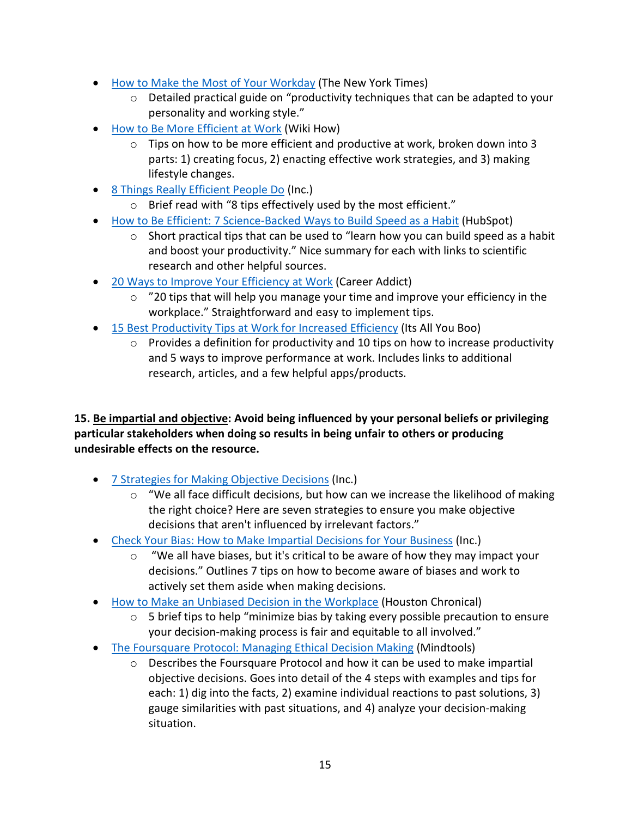- [How to Make the Most of Your Workday](https://www.nytimes.com/guides/business/how-to-improve-your-productivity-at-work) (The New York Times)
	- o Detailed practical guide on "productivity techniques that can be adapted to your personality and working style."
- [How to Be More Efficient at Work](https://www.wikihow.com/Be-More-Efficient-at-Work) (Wiki How)
	- $\circ$  Tips on how to be more efficient and productive at work, broken down into 3 parts: 1) creating focus, 2) enacting effective work strategies, and 3) making lifestyle changes.
- [8 Things Really Efficient People Do](https://www.inc.com/kevin-daum/8-things-really-efficient-people-do.html) (Inc.)
	- o Brief read with "8 tips effectively used by the most efficient."
- [How to Be Efficient: 7 Science-Backed Ways to Build Speed as a Habit](https://blog.hubspot.com/marketing/how-to-be-efficient) (HubSpot)
	- $\circ$  Short practical tips that can be used to "learn how you can build speed as a habit and boost your productivity." Nice summary for each with links to scientific research and other helpful sources.
- [20 Ways to Improve Your Efficiency at Work](https://www.careeraddict.com/work-efficiently) (Career Addict)
	- $\circ$  "20 tips that will help you manage your time and improve your efficiency in the workplace." Straightforward and easy to implement tips.
- 15 Best [Productivity Tips at Work for Increased Efficiency](https://itsallyouboo.com/productivity-tips-at-work-for-increased-efficiency/) (Its All You Boo)
	- $\circ$  Provides a definition for productivity and 10 tips on how to increase productivity and 5 ways to improve performance at work. Includes links to additional research, articles, and a few helpful apps/products.

**15. Be impartial and objective: Avoid being influenced by your personal beliefs or privileging particular stakeholders when doing so results in being unfair to others or producing undesirable effects on the resource.**

- [7 Strategies for Making Objective Decisions](https://www.inc.com/jayson-demers/7-strategies-for-making-objective-decisions.html) (Inc.)
	- $\circ$  "We all face difficult decisions, but how can we increase the likelihood of making the right choice? Here are seven strategies to ensure you make objective decisions that aren't influenced by irrelevant factors."
- [Check Your Bias: How to Make Impartial Decisions for Your Business](https://www.inc.com/young-entrepreneur-council/7-simple-ways-to-check-your-bias-make-better-business-decisions.html) (Inc.)
	- o "We all have biases, but it's critical to be aware of how they may impact your decisions." Outlines 7 tips on how to become aware of biases and work to actively set them aside when making decisions.
- [How to Make an Unbiased Decision in the Workplace](https://smallbusiness.chron.com/make-unbiased-decision-workplace-26039.html) (Houston Chronical)
	- $\circ$  5 brief tips to help "minimize bias by taking every possible precaution to ensure your decision-making process is fair and equitable to all involved."
- [The Foursquare Protocol: Managing Ethical Decision Making](https://www.mindtools.com/pages/article/newTED_83.htm) (Mindtools)
	- o Describes the Foursquare Protocol and how it can be used to make impartial objective decisions. Goes into detail of the 4 steps with examples and tips for each: 1) dig into the facts, 2) examine individual reactions to past solutions, 3) gauge similarities with past situations, and 4) analyze your decision-making situation.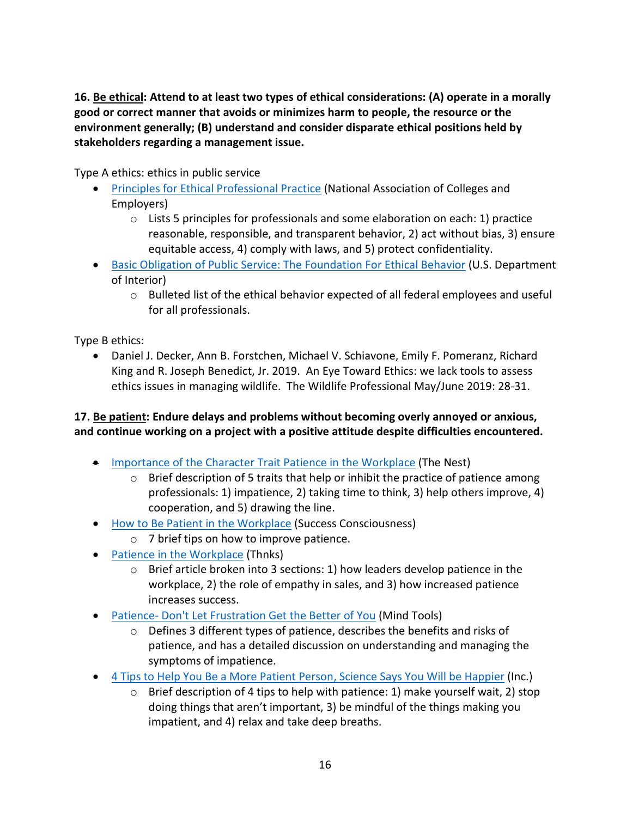**16. Be ethical: Attend to at least two types of ethical considerations: (A) operate in a morally good or correct manner that avoids or minimizes harm to people, the resource or the environment generally; (B) understand and consider disparate ethical positions held by stakeholders regarding a management issue.**

Type A ethics: ethics in public service

- [Principles for Ethical Professional Practice](https://www.naceweb.org/career-development/organizational-structure/principles-for-ethical-professional-practice/) (National Association of Colleges and Employers)
	- $\circ$  Lists 5 principles for professionals and some elaboration on each: 1) practice reasonable, responsible, and transparent behavior, 2) act without bias, 3) ensure equitable access, 4) comply with laws, and 5) protect confidentiality.
- [Basic Obligation of Public Service: The Foundation For Ethical Behavior](https://www.doi.gov/ethics/basic-obligations-of-public-service) (U.S. Department of Interior)
	- o Bulleted list of the ethical behavior expected of all federal employees and useful for all professionals.

Type B ethics:

• Daniel J. Decker, Ann B. Forstchen, Michael V. Schiavone, Emily F. Pomeranz, Richard King and R. Joseph Benedict, Jr. 2019. An Eye Toward Ethics: we lack tools to assess ethics issues in managing wildlife. The Wildlife Professional May/June 2019: 28-31.

#### **17. Be patient: Endure delays and problems without becoming overly annoyed or anxious, and continue working on a project with a positive attitude despite difficulties encountered.**

- [Importance of the Character Trait Patience in the Workplace](https://woman.thenest.com/importance-character-trait-patience-workplace-19926.html) (The Nest)
	- $\circ$  Brief description of 5 traits that help or inhibit the practice of patience among professionals: 1) impatience, 2) taking time to think, 3) help others improve, 4) cooperation, and 5) drawing the line.
- [How to Be Patient in the Workplace](https://www.successconsciousness.com/how-to-be-patient-in-workplace.html) (Success Consciousness)
	- o 7 brief tips on how to improve patience.
- [Patience in the Workplace](https://www.thnks.com/blog/patience-in-the-workplace/) (Thnks)
	- $\circ$  Brief article broken into 3 sections: 1) how leaders develop patience in the workplace, 2) the role of empathy in sales, and 3) how increased patience increases success.
- Patience- [Don't Let Frustration Get the Better of You](https://www.mindtools.com/pages/article/newTCS_78.htm) (Mind Tools)
	- $\circ$  Defines 3 different types of patience, describes the benefits and risks of patience, and has a detailed discussion on understanding and managing the symptoms of impatience.
- [4 Tips to Help You Be a More Patient Person, Science Says You Will be Happier](https://www.inc.com/rhett-power/4-tips-to-help-you-be-a-more-patient-person-science-says-you-will-be-happier.html) (Inc.)
	- o Brief description of 4 tips to help with patience: 1) make yourself wait, 2) stop doing things that aren't important, 3) be mindful of the things making you impatient, and 4) relax and take deep breaths.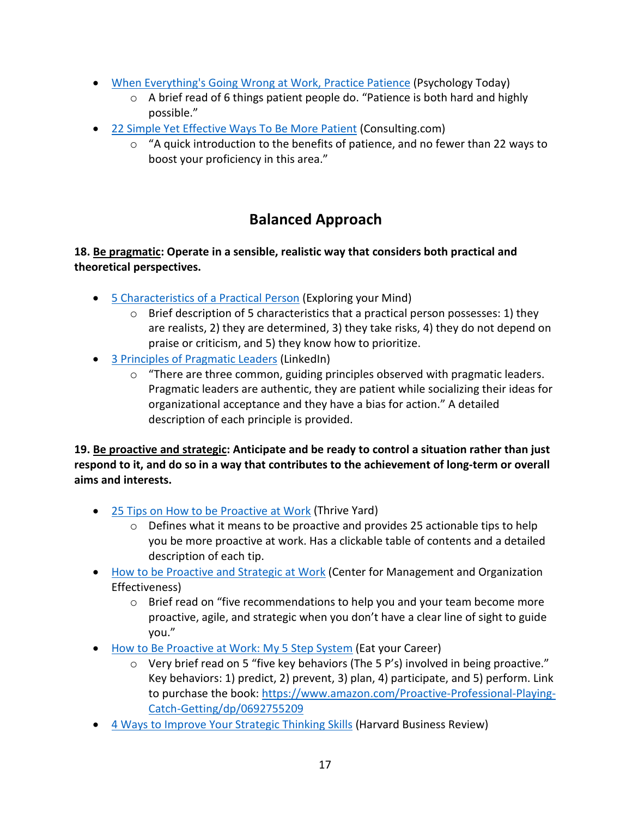- [When Everything's Going Wrong at Work, Practice Patience](https://www.psychologytoday.com/us/blog/the-gen-y-guide/201612/when-everythings-going-wrong-work-practice-patience) (Psychology Today)
	- o A brief read of 6 things patient people do. "Patience is both hard and highly possible."
- [22 Simple Yet Effective Ways To Be More Patient](https://www.consulting.com/how-to-be-more-patient) (Consulting.com)
	- $\circ$  "A quick introduction to the benefits of patience, and no fewer than 22 ways to boost your proficiency in this area."

# **Balanced Approach**

#### <span id="page-16-0"></span>**18. Be pragmatic: Operate in a sensible, realistic way that considers both practical and theoretical perspectives.**

- [5 Characteristics of a Practical Person](https://exploringyourmind.com/5-characteristics-of-a-practical-person/) (Exploring your Mind)
	- $\circ$  Brief description of 5 characteristics that a practical person possesses: 1) they are realists, 2) they are determined, 3) they take risks, 4) they do not depend on praise or criticism, and 5) they know how to prioritize.
- [3 Principles of Pragmatic Leaders](https://www.linkedin.com/pulse/3-principles-pragmatic-leaders-paul-larkin) (LinkedIn)
	- o "There are three common, guiding principles observed with pragmatic leaders. Pragmatic leaders are authentic, they are patient while socializing their ideas for organizational acceptance and they have a bias for action." A detailed description of each principle is provided.

**19. Be proactive and strategic: Anticipate and be ready to control a situation rather than just respond to it, and do so in a way that contributes to the achievement of long-term or overall aims and interests.**

- 25 Tips on How to be Proactive at Work (Thrive Yard)
	- $\circ$  Defines what it means to be proactive and provides 25 actionable tips to help you be more proactive at work. Has a clickable table of contents and a detailed description of each tip.
- How to be Proactive and Strategic at Work (Center for Management and Organization Effectiveness)
	- $\circ$  Brief read on "five recommendations to help you and your team become more proactive, agile, and strategic when you don't have a clear line of sight to guide you."
- How to Be Proactive at Work: My 5 Step System (Eat your Career)
	- o Very brief read on 5 "five key behaviors (The 5 P's) involved in being proactive." Key behaviors: 1) predict, 2) prevent, 3) plan, 4) participate, and 5) perform. Link to purchase the book[: https://www.amazon.com/Proactive-Professional-Playing-](https://www.amazon.com/Proactive-Professional-Playing-Catch-Getting/dp/0692755209)[Catch-Getting/dp/0692755209](https://www.amazon.com/Proactive-Professional-Playing-Catch-Getting/dp/0692755209)
- [4 Ways to Improve Your Strategic Thinking Skills](https://hbr.org/2016/12/4-ways-to-improve-your-strategic-thinking-skills) (Harvard Business Review)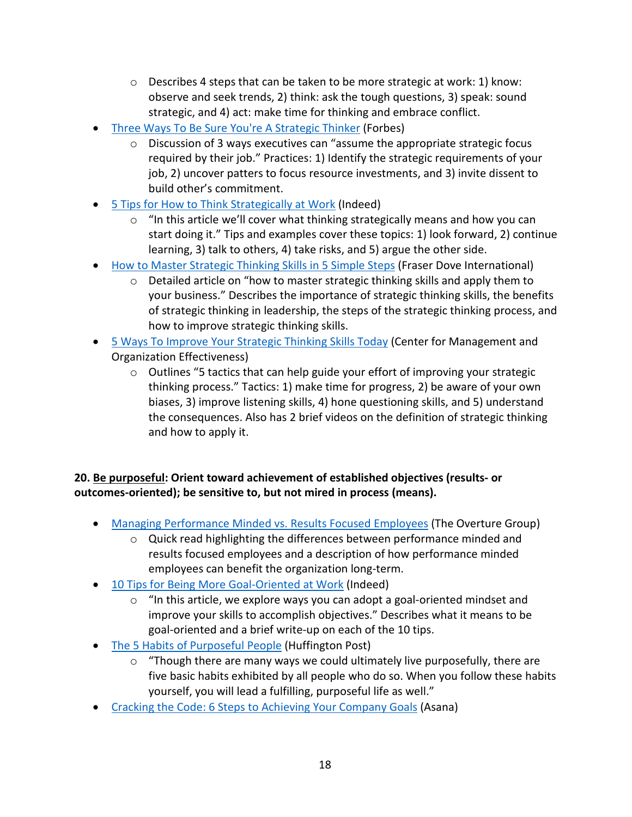- $\circ$  Describes 4 steps that can be taken to be more strategic at work: 1) know: observe and seek trends, 2) think: ask the tough questions, 3) speak: sound strategic, and 4) act: make time for thinking and embrace conflict.
- [Three Ways To Be Sure You're A Strategic Thinker](https://www.forbes.com/sites/roncarucci/2018/04/09/three-ways-to-be-sure-youre-a-strategic-thinker/#2c37edf24218) (Forbes)
	- o Discussion of 3 ways executives can "assume the appropriate strategic focus required by their job." Practices: 1) Identify the strategic requirements of your job, 2) uncover patters to focus resource investments, and 3) invite dissent to build other's commitment.
- [5 Tips for How to Think Strategically at Work](https://www.indeed.com/career-advice/career-development/how-to-think-strategically-at-work) (Indeed)
	- $\circ$  "In this article we'll cover what thinking strategically means and how you can start doing it." Tips and examples cover these topics: 1) look forward, 2) continue learning, 3) talk to others, 4) take risks, and 5) argue the other side.
- [How to Master Strategic Thinking Skills in 5 Simple Steps](https://www.fraserdove.com/master-strategic-thinking/) (Fraser Dove International)
	- $\circ$  Detailed article on "how to master strategic thinking skills and apply them to your business." Describes the importance of strategic thinking skills, the benefits of strategic thinking in leadership, the steps of the strategic thinking process, and how to improve strategic thinking skills.
- [5 Ways To Improve Your Strategic Thinking Skills Today](https://cmoe.com/blog/improve-strategic-thinking-skills/) (Center for Management and Organization Effectiveness)
	- $\circ$  Outlines "5 tactics that can help guide your effort of improving your strategic thinking process." Tactics: 1) make time for progress, 2) be aware of your own biases, 3) improve listening skills, 4) hone questioning skills, and 5) understand the consequences. Also has 2 brief videos on the definition of strategic thinking and how to apply it.

#### **20. Be purposeful: Orient toward achievement of established objectives (results- or outcomes-oriented); be sensitive to, but not mired in process (means).**

- [Managing Performance Minded vs. Results Focused Employees](https://www.theoverturegroup.com/blog/managing-performance-minded-vs-results-focused-employees/) (The Overture Group)
	- o Quick read highlighting the differences between performance minded and results focused employees and a description of how performance minded employees can benefit the organization long-term.
- [10 Tips for Being More Goal-Oriented at Work](https://www.indeed.com/career-advice/career-development/being-goal-oriented-at-work) (Indeed)
	- o "In this article, we explore ways you can adopt a goal-oriented mindset and improve your skills to accomplish objectives." Describes what it means to be goal-oriented and a brief write-up on each of the 10 tips.
- [The 5 Habits of Purposeful People](https://www.huffpost.com/entry/purposeful-people_b_4768135) (Huffington Post)
	- o "Though there are many ways we could ultimately live purposefully, there are five basic habits exhibited by all people who do so. When you follow these habits yourself, you will lead a fulfilling, purposeful life as well."
- [Cracking the Code: 6 Steps to Achieving Your Company Goals](https://blog.asana.com/2017/11/cracking-the-code-6-steps-to-achieving-your-company-goals/#close) (Asana)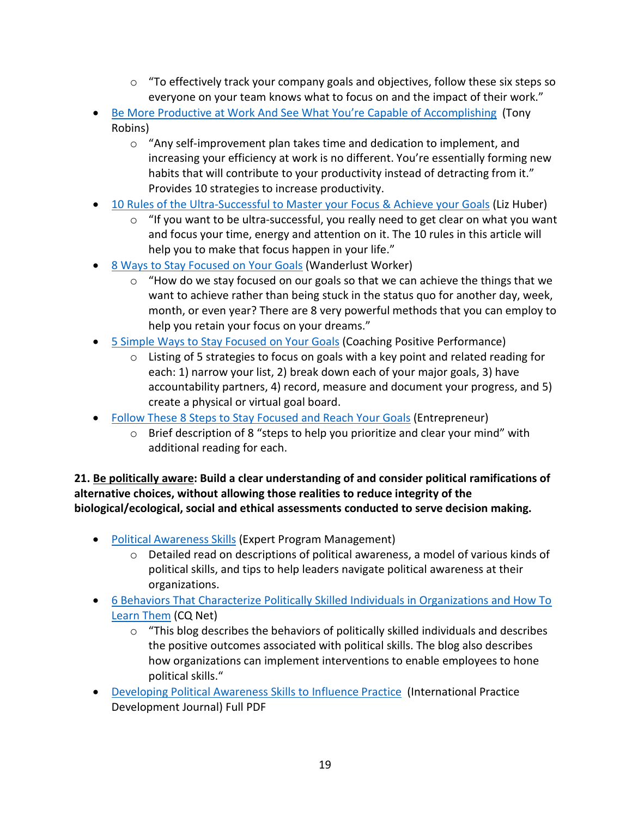- $\circ$  "To effectively track your company goals and objectives, follow these six steps so everyone on your team knows what to focus on and the impact of their work."
- [Be More Productive at Work And See What You're Capable of Accomplishing](https://www.tonyrobbins.com/business/improve-work-efficiency/) (Tony Robins)
	- $\circ$  "Any self-improvement plan takes time and dedication to implement, and increasing your efficiency at work is no different. You're essentially forming new habits that will contribute to your productivity instead of detracting from it." Provides 10 strategies to increase productivity.
- [10 Rules of the Ultra-Successful to Master your Focus & Achieve your Goals](https://medium.com/@refinedliz/10-rules-of-the-ultra-successful-to-master-your-focus-achieve-your-goals-4855eff07b16) (Liz Huber)
	- $\circ$  "If you want to be ultra-successful, you really need to get clear on what you want and focus your time, energy and attention on it. The 10 rules in this article will help you to make that focus happen in your life."
- [8 Ways to Stay Focused on Your Goals](https://www.wanderlustworker.com/8-ways-to-stay-focused-on-your-goals/) (Wanderlust Worker)
	- $\circ$  "How do we stay focused on our goals so that we can achieve the things that we want to achieve rather than being stuck in the status quo for another day, week, month, or even year? There are 8 very powerful methods that you can employ to help you retain your focus on your dreams."
- [5 Simple Ways to Stay Focused on Your Goals](https://www.coachingpositiveperformance.com/5-simple-ways-stay-focused-goals/) (Coaching Positive Performance)
	- o Listing of 5 strategies to focus on goals with a key point and related reading for each: 1) narrow your list, 2) break down each of your major goals, 3) have accountability partners, 4) record, measure and document your progress, and 5) create a physical or virtual goal board.
- [Follow These 8 Steps to Stay Focused and Reach Your Goals](https://www.entrepreneur.com/article/288682) (Entrepreneur)
	- $\circ$  Brief description of 8 "steps to help you prioritize and clear your mind" with additional reading for each.

**21. Be politically aware: Build a clear understanding of and consider political ramifications of alternative choices, without allowing those realities to reduce integrity of the biological/ecological, social and ethical assessments conducted to serve decision making.**

- [Political Awareness Skills](https://expertprogrammanagement.com/2017/02/political-awareness-skills/) (Expert Program Management)
	- $\circ$  Detailed read on descriptions of political awareness, a model of various kinds of political skills, and tips to help leaders navigate political awareness at their organizations.
- 6 [Behaviors That Characterize Politically Skilled Individuals in Organizations and How To](https://www.ckju.net/en/blog/6-behaviors-characterize-politically-skilled-individuals-organizations-how-learn-them/32148)  [Learn Them](https://www.ckju.net/en/blog/6-behaviors-characterize-politically-skilled-individuals-organizations-how-learn-them/32148) (CQ Net)
	- $\circ$  "This blog describes the behaviors of politically skilled individuals and describes the positive outcomes associated with political skills. The blog also describes how organizations can implement interventions to enable employees to hone political skills."
- [Developing Political Awareness Skills to Influence Practice](https://www.google.com/url?sa=t&rct=j&q=&esrc=s&source=web&cd=&ved=2ahUKEwifuufV-KLrAhVXXM0KHezeCmQQFjANegQIAxAB&url=https%3A%2F%2Fwww.fons.org%2FResources%2FDocuments%2FJournal%2FVol7No2%2FIPDJ_0702_12.pdf&usg=AOvVaw18TBi9PTDXI8kd4CnaTck1) (International Practice Development Journal) Full PDF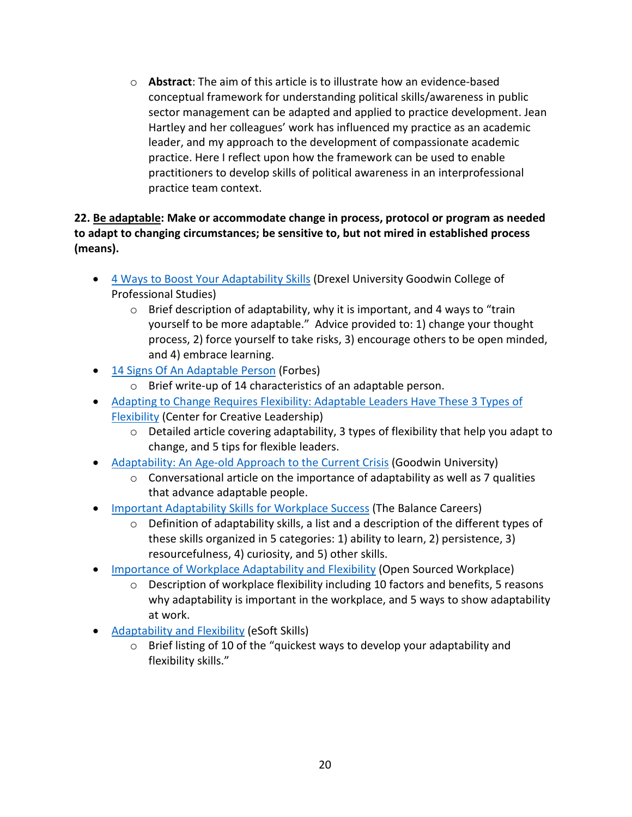o **Abstract**: The aim of this article is to illustrate how an evidence-based conceptual framework for understanding political skills/awareness in public sector management can be adapted and applied to practice development. Jean Hartley and her colleagues' work has influenced my practice as an academic leader, and my approach to the development of compassionate academic practice. Here I reflect upon how the framework can be used to enable practitioners to develop skills of political awareness in an interprofessional practice team context.

#### **22. Be adaptable: Make or accommodate change in process, protocol or program as needed to adapt to changing circumstances; be sensitive to, but not mired in established process (means).**

- [4 Ways to Boost Your Adaptability Skills](https://drexel.edu/goodwin/professional-studies-blog/overview/2019/September/4-ways-to-boost-your-adaptability-skills/) (Drexel University Goodwin College of Professional Studies)
	- o Brief description of adaptability, why it is important, and 4 ways to "train yourself to be more adaptable." Advice provided to: 1) change your thought process, 2) force yourself to take risks, 3) encourage others to be open minded, and 4) embrace learning.
- [14 Signs Of An Adaptable Person](https://www.forbes.com/sites/jeffboss/2015/09/03/14-signs-of-an-adaptable-person/#7b03116eaf43) (Forbes)
	- o Brief write-up of 14 characteristics of an adaptable person.
- [Adapting to Change Requires Flexibility: Adaptable Leaders Have These 3 Types of](https://www.ccl.org/articles/leading-effectively-articles/adaptability-1-idea-3-facts-5-tips/)  [Flexibility](https://www.ccl.org/articles/leading-effectively-articles/adaptability-1-idea-3-facts-5-tips/) (Center for Creative Leadership)
	- o Detailed article covering adaptability, 3 types of flexibility that help you adapt to change, and 5 tips for flexible leaders.
- [Adaptability: An Age-old Approach to the Current Crisis](https://www.goodwin.edu/enews/seven-qualities-of-adaptable-people/) (Goodwin University)
	- o Conversational article on the importance of adaptability as well as 7 qualities that advance adaptable people.
- [Important Adaptability Skills for Workplace Success](https://www.thebalancecareers.com/important-adaptability-skills-4768260) (The Balance Careers)
	- $\circ$  Definition of adaptability skills, a list and a description of the different types of these skills organized in 5 categories: 1) ability to learn, 2) persistence, 3) resourcefulness, 4) curiosity, and 5) other skills.
- [Importance of Workplace Adaptability and Flexibility](https://www.opensourcedworkplace.com/news/importance-of-workplace-adaptability-and-flexibility) (Open Sourced Workplace)
	- $\circ$  Description of workplace flexibility including 10 factors and benefits, 5 reasons why adaptability is important in the workplace, and 5 ways to show adaptability at work.
- <span id="page-19-0"></span>• [Adaptability and Flexibility](https://esoftskills.com/10-soft-skills-you-need-adaptability-and-flexibility-7/) (eSoft Skills)
	- o Brief listing of 10 of the "quickest ways to develop your adaptability and flexibility skills."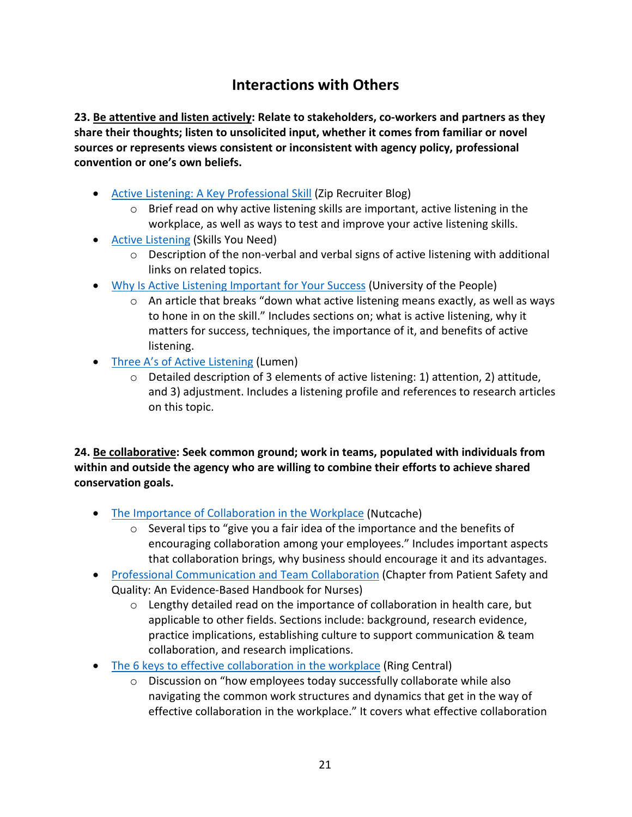## **Interactions with Others**

**23. Be attentive and listen actively: Relate to stakeholders, co-workers and partners as they share their thoughts; listen to unsolicited input, whether it comes from familiar or novel sources or represents views consistent or inconsistent with agency policy, professional convention or one's own beliefs.**

- [Active Listening: A Key Professional Skill](https://www.ziprecruiter.com/blog/active-listening-a-key-professional-skill/) (Zip Recruiter Blog)
	- $\circ$  Brief read on why active listening skills are important, active listening in the workplace, as well as ways to test and improve your active listening skills.
- [Active Listening](https://www.skillsyouneed.com/ips/active-listening.html) (Skills You Need)
	- o Description of the non-verbal and verbal signs of active listening with additional links on related topics.
- [Why Is Active Listening Important for Your Success](https://www.uopeople.edu/blog/why-is-active-listening-important/) (University of the People)
	- o An article that breaks "down what active listening means exactly, as well as ways to hone in on the skill." Includes sections on; what is active listening, why it matters for success, techniques, the importance of it, and benefits of active listening.
- [Three A's of Active Listening](https://courses.lumenlearning.com/vccs-cst100-17fa/chapter/chapter-4-three-as-of-active-listening/) (Lumen)
	- o Detailed description of 3 elements of active listening: 1) attention, 2) attitude, and 3) adjustment. Includes a listening profile and references to research articles on this topic.

**24. Be collaborative: Seek common ground; work in teams, populated with individuals from within and outside the agency who are willing to combine their efforts to achieve shared conservation goals.**

- [The Importance of Collaboration in the Workplace](https://www.nutcache.com/blog/the-importance-of-collaboration-in-the-workplace/) (Nutcache)
	- o Several tips to "give you a fair idea of the importance and the benefits of encouraging collaboration among your employees." Includes important aspects that collaboration brings, why business should encourage it and its advantages.
- [Professional Communication and Team Collaboration](https://www.ncbi.nlm.nih.gov/books/NBK2637/) (Chapter from Patient Safety and Quality: An Evidence-Based Handbook for Nurses)
	- $\circ$  Lengthy detailed read on the importance of collaboration in health care, but applicable to other fields. Sections include: background, research evidence, practice implications, establishing culture to support communication & team collaboration, and research implications.
- [The 6 keys to effective collaboration in the workplace](https://www.ringcentral.com/small-business/blog/collaboration-in-the-workplace/) (Ring Central)
	- o Discussion on "how employees today successfully collaborate while also navigating the common work structures and dynamics that get in the way of effective collaboration in the workplace." It covers what effective collaboration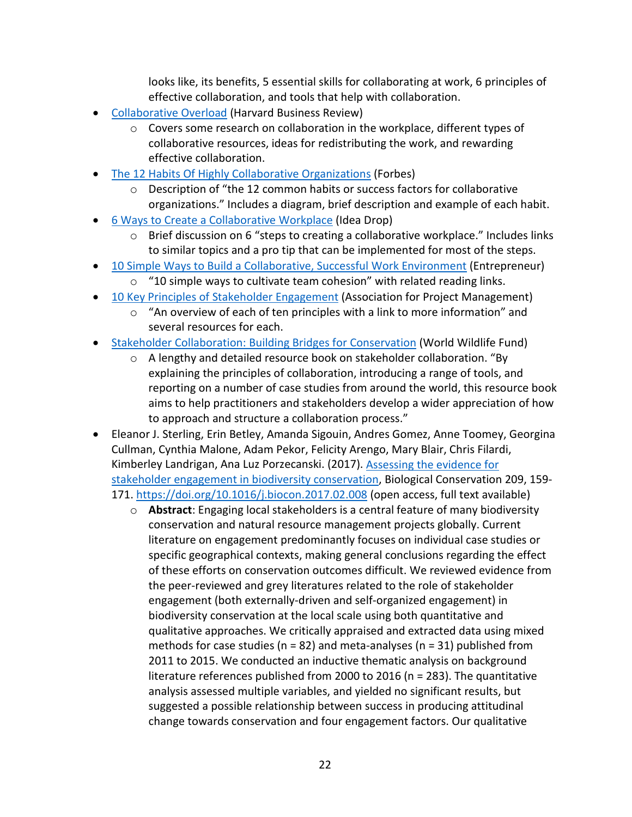looks like, its benefits, 5 essential skills for collaborating at work, 6 principles of effective collaboration, and tools that help with collaboration.

- **[Collaborative Overload](https://hbr.org/2016/01/collaborative-overload) (Harvard Business Review)** 
	- $\circ$  Covers some research on collaboration in the workplace, different types of collaborative resources, ideas for redistributing the work, and rewarding effective collaboration.
- [The 12 Habits Of Highly Collaborative Organizations](https://www.forbes.com/sites/jacobmorgan/2013/07/30/the-12-habits-of-highly-collaborative-organizations/#7fc321673683) (Forbes)
	- $\circ$  Description of "the 12 common habits or success factors for collaborative organizations." Includes a diagram, brief description and example of each habit.
- 6 Ways to Create a [Collaborative Workplace](https://ideadrop.co/6-ways-create-collaborative-workplace/) (Idea Drop)
	- o Brief discussion on 6 "steps to creating a collaborative workplace." Includes links to similar topics and a pro tip that can be implemented for most of the steps.
- [10 Simple Ways to Build a Collaborative, Successful Work Environment](https://www.entrepreneur.com/article/302126) (Entrepreneur)
	- $\circ$  "10 simple ways to cultivate team cohesion" with related reading links.
- [10 Key Principles of Stakeholder Engagement](https://www.apm.org.uk/resources/find-a-resource/stakeholder-engagement/key-principles/) (Association for Project Management)
	- o "An overview of each of ten principles with a link to more information" and several resources for each.
- [Stakeholder Collaboration: Building Bridges for Conservation](http://www.protectedareas.info/upload/document/stakeholdercollaboration.pdf) (World Wildlife Fund)
	- o A lengthy and detailed resource book on stakeholder collaboration. "By explaining the principles of collaboration, introducing a range of tools, and reporting on a number of case studies from around the world, this resource book aims to help practitioners and stakeholders develop a wider appreciation of how to approach and structure a collaboration process."
- Eleanor J. Sterling, Erin Betley, Amanda Sigouin, Andres Gomez, Anne Toomey, Georgina Cullman, Cynthia Malone, Adam Pekor, Felicity Arengo, Mary Blair, Chris Filardi, Kimberley Landrigan, Ana Luz Porzecanski. (2017). [Assessing the evidence for](https://www.sciencedirect.com/science/article/pii/S0006320717302069#bb0120)  [stakeholder engagement in biodiversity conservation,](https://www.sciencedirect.com/science/article/pii/S0006320717302069#bb0120) Biological Conservation 209, 159- 171.<https://doi.org/10.1016/j.biocon.2017.02.008> (open access, full text available)
	- o **Abstract**: Engaging local stakeholders is a central feature of many biodiversity conservation and natural resource management projects globally. Current literature on engagement predominantly focuses on individual case studies or specific geographical contexts, making general conclusions regarding the effect of these efforts on conservation outcomes difficult. We reviewed evidence from the peer-reviewed and grey literatures related to the role of stakeholder engagement (both externally-driven and self-organized engagement) in biodiversity conservation at the local scale using both quantitative and qualitative approaches. We critically appraised and extracted data using mixed methods for case studies ( $n = 82$ ) and meta-analyses ( $n = 31$ ) published from 2011 to 2015. We conducted an inductive thematic analysis on background literature references published from 2000 to 2016 (n = 283). The quantitative analysis assessed multiple variables, and yielded no significant results, but suggested a possible relationship between success in producing attitudinal change towards conservation and four engagement factors. Our qualitative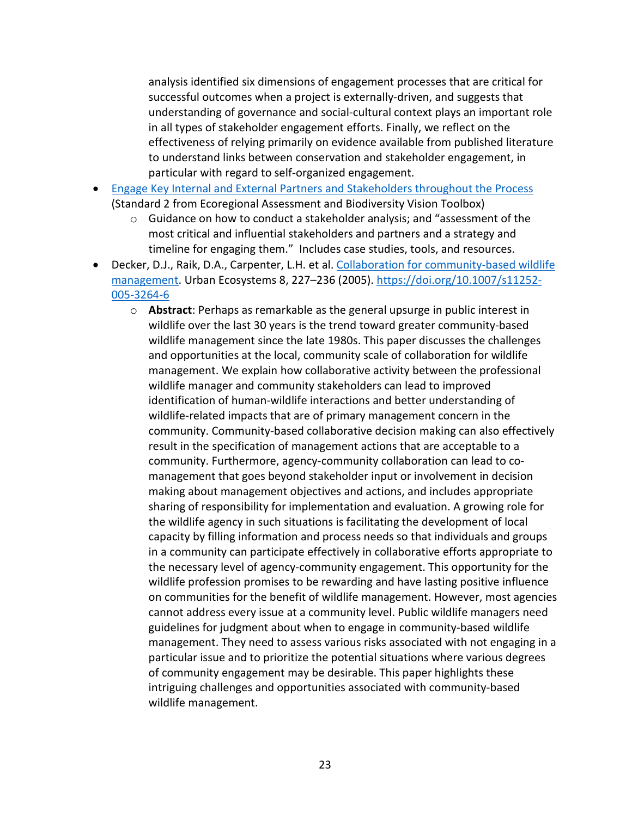analysis identified six dimensions of engagement processes that are critical for successful outcomes when a project is externally-driven, and suggests that understanding of governance and social-cultural context plays an important role in all types of stakeholder engagement efforts. Finally, we reflect on the effectiveness of relying primarily on evidence available from published literature to understand links between conservation and stakeholder engagement, in particular with regard to self-organized engagement.

- [Engage Key Internal and External Partners and Stakeholders throughout the Process](https://www.conservationgateway.org/Documents/Std2EngagePartnersStakeholdersFeb06.pdf) (Standard 2 from Ecoregional Assessment and Biodiversity Vision Toolbox)
	- $\circ$  Guidance on how to conduct a stakeholder analysis; and "assessment of the most critical and influential stakeholders and partners and a strategy and timeline for engaging them." Includes case studies, tools, and resources.
- Decker, D.J., Raik, D.A., Carpenter, L.H. et al. [Collaboration for community-based wildlife](https://link.springer.com/article/10.1007/s11252-005-3264-6)  [management.](https://link.springer.com/article/10.1007/s11252-005-3264-6) Urban Ecosystems 8, 227–236 (2005). [https://doi.org/10.1007/s11252-](https://doi.org/10.1007/s11252-005-3264-6) [005-3264-6](https://doi.org/10.1007/s11252-005-3264-6)
	- o **Abstract**: Perhaps as remarkable as the general upsurge in public interest in wildlife over the last 30 years is the trend toward greater community-based wildlife management since the late 1980s. This paper discusses the challenges and opportunities at the local, community scale of collaboration for wildlife management. We explain how collaborative activity between the professional wildlife manager and community stakeholders can lead to improved identification of human-wildlife interactions and better understanding of wildlife-related impacts that are of primary management concern in the community. Community-based collaborative decision making can also effectively result in the specification of management actions that are acceptable to a community. Furthermore, agency-community collaboration can lead to comanagement that goes beyond stakeholder input or involvement in decision making about management objectives and actions, and includes appropriate sharing of responsibility for implementation and evaluation. A growing role for the wildlife agency in such situations is facilitating the development of local capacity by filling information and process needs so that individuals and groups in a community can participate effectively in collaborative efforts appropriate to the necessary level of agency-community engagement. This opportunity for the wildlife profession promises to be rewarding and have lasting positive influence on communities for the benefit of wildlife management. However, most agencies cannot address every issue at a community level. Public wildlife managers need guidelines for judgment about when to engage in community-based wildlife management. They need to assess various risks associated with not engaging in a particular issue and to prioritize the potential situations where various degrees of community engagement may be desirable. This paper highlights these intriguing challenges and opportunities associated with community-based wildlife management.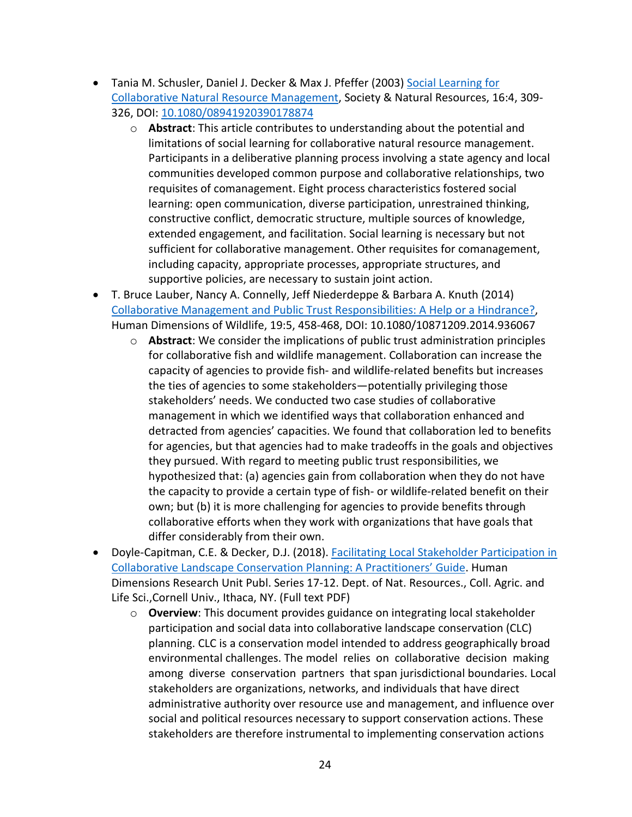- Tania M. Schusler, Daniel J. Decker & Max J. Pfeffer (2003) [Social Learning for](https://www.tandfonline.com/doi/abs/10.1080/08941920390178874)  [Collaborative Natural Resource Management,](https://www.tandfonline.com/doi/abs/10.1080/08941920390178874) Society & Natural Resources, 16:4, 309- 326, DOI: [10.1080/08941920390178874](https://doi.org/10.1080/08941920390178874)
	- o **Abstract**: This article contributes to understanding about the potential and limitations of social learning for collaborative natural resource management. Participants in a deliberative planning process involving a state agency and local communities developed common purpose and collaborative relationships, two requisites of comanagement. Eight process characteristics fostered social learning: open communication, diverse participation, unrestrained thinking, constructive conflict, democratic structure, multiple sources of knowledge, extended engagement, and facilitation. Social learning is necessary but not sufficient for collaborative management. Other requisites for comanagement, including capacity, appropriate processes, appropriate structures, and supportive policies, are necessary to sustain joint action.
- T. Bruce Lauber, Nancy A. Connelly, Jeff Niederdeppe & Barbara A. Knuth (2014) [Collaborative Management and Public Trust Responsibilities: A Help or a Hindrance?,](https://www.tandfonline.com/doi/abs/10.1080/10871209.2014.936067) Human Dimensions of Wildlife, 19:5, 458-468, DOI: 10.1080/10871209.2014.936067
	- o **Abstract**: We consider the implications of public trust administration principles for collaborative fish and wildlife management. Collaboration can increase the capacity of agencies to provide fish- and wildlife-related benefits but increases the ties of agencies to some stakeholders—potentially privileging those stakeholders' needs. We conducted two case studies of collaborative management in which we identified ways that collaboration enhanced and detracted from agencies' capacities. We found that collaboration led to benefits for agencies, but that agencies had to make tradeoffs in the goals and objectives they pursued. With regard to meeting public trust responsibilities, we hypothesized that: (a) agencies gain from collaboration when they do not have the capacity to provide a certain type of fish- or wildlife-related benefit on their own; but (b) it is more challenging for agencies to provide benefits through collaborative efforts when they work with organizations that have goals that differ considerably from their own.
- Doyle-Capitman, C.E. & Decker, D.J. (2018). Facilitating Local Stakeholder Participation in [Collaborative Landscape Conservation Planning: A Practitioners' Guide.](https://ecommons.cornell.edu/bitstream/handle/1813/58760/Doyle-Capitman%20&%20Decker_Local%20Stakeholder%20Participation%20PG_online%20version.pdf?sequence=2&isAllowed=y) Human Dimensions Research Unit Publ. Series 17-12. Dept. of Nat. Resources., Coll. Agric. and Life Sci.,Cornell Univ., Ithaca, NY. (Full text PDF)
	- o **Overview**: This document provides guidance on integrating local stakeholder participation and social data into collaborative landscape conservation (CLC) planning. CLC is a conservation model intended to address geographically broad environmental challenges. The model relies on collaborative decision making among diverse conservation partners that span jurisdictional boundaries. Local stakeholders are organizations, networks, and individuals that have direct administrative authority over resource use and management, and influence over social and political resources necessary to support conservation actions. These stakeholders are therefore instrumental to implementing conservation actions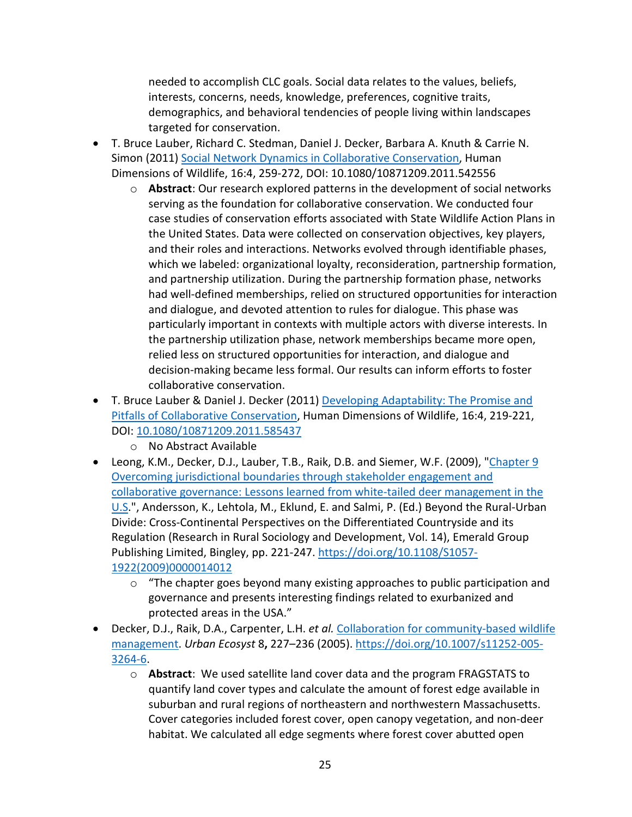needed to accomplish CLC goals. Social data relates to the values, beliefs, interests, concerns, needs, knowledge, preferences, cognitive traits, demographics, and behavioral tendencies of people living within landscapes targeted for conservation.

- T. Bruce Lauber, Richard C. Stedman, Daniel J. Decker, Barbara A. Knuth & Carrie N. Simon (2011) [Social Network Dynamics in Collaborative Conservation,](https://www.tandfonline.com/doi/abs/10.1080/10871209.2011.542556) Human Dimensions of Wildlife, 16:4, 259-272, DOI: 10.1080/10871209.2011.542556
	- o **Abstract**: Our research explored patterns in the development of social networks serving as the foundation for collaborative conservation. We conducted four case studies of conservation efforts associated with State Wildlife Action Plans in the United States. Data were collected on conservation objectives, key players, and their roles and interactions. Networks evolved through identifiable phases, which we labeled: organizational loyalty, reconsideration, partnership formation, and partnership utilization. During the partnership formation phase, networks had well-defined memberships, relied on structured opportunities for interaction and dialogue, and devoted attention to rules for dialogue. This phase was particularly important in contexts with multiple actors with diverse interests. In the partnership utilization phase, network memberships became more open, relied less on structured opportunities for interaction, and dialogue and decision-making became less formal. Our results can inform efforts to foster collaborative conservation.
- T. Bruce Lauber & Daniel J. Decker (2011) [Developing Adaptability: The Promise and](https://www.tandfonline.com/doi/abs/10.1080/10871209.2011.585437)  [Pitfalls of Collaborative Conservation,](https://www.tandfonline.com/doi/abs/10.1080/10871209.2011.585437) Human Dimensions of Wildlife, 16:4, 219-221, DOI: [10.1080/10871209.2011.585437](https://doi.org/10.1080/10871209.2011.585437)
	- o No Abstract Available
- Leong, K.M., Decker, D.J., Lauber, T.B., Raik, D.B. and Siemer, W.F. (2009), "Chapter 9 [Overcoming jurisdictional boundaries through stakeholder engagement and](https://www.emerald.com/insight/content/doi/10.1108/S1057-1922(2009)0000014012/full/html)  [collaborative governance: Lessons learned from white-tailed deer management in the](https://www.emerald.com/insight/content/doi/10.1108/S1057-1922(2009)0000014012/full/html)  [U.S.](https://www.emerald.com/insight/content/doi/10.1108/S1057-1922(2009)0000014012/full/html)", Andersson, K., Lehtola, M., Eklund, E. and Salmi, P. (Ed.) Beyond the Rural-Urban Divide: Cross-Continental Perspectives on the Differentiated Countryside and its Regulation (Research in Rural Sociology and Development, Vol. 14), Emerald Group Publishing Limited, Bingley, pp. 221-247. [https://doi.org/10.1108/S1057-](https://doi.org/10.1108/S1057-1922(2009)0000014012) [1922\(2009\)0000014012](https://doi.org/10.1108/S1057-1922(2009)0000014012)
	- $\circ$  "The chapter goes beyond many existing approaches to public participation and governance and presents interesting findings related to exurbanized and protected areas in the USA."
- Decker, D.J., Raik, D.A., Carpenter, L.H. *et al.* [Collaboration for community-based wildlife](https://www.researchgate.net/publication/277718528_Collaboration_for_community-based_wildlife_management)  [management.](https://www.researchgate.net/publication/277718528_Collaboration_for_community-based_wildlife_management) *Urban Ecosyst* 8**,** 227–236 (2005). [https://doi.org/10.1007/s11252-005-](https://doi.org/10.1007/s11252-005-3264-6) [3264-6.](https://doi.org/10.1007/s11252-005-3264-6)
	- o **Abstract**: We used satellite land cover data and the program FRAGSTATS to quantify land cover types and calculate the amount of forest edge available in suburban and rural regions of northeastern and northwestern Massachusetts. Cover categories included forest cover, open canopy vegetation, and non-deer habitat. We calculated all edge segments where forest cover abutted open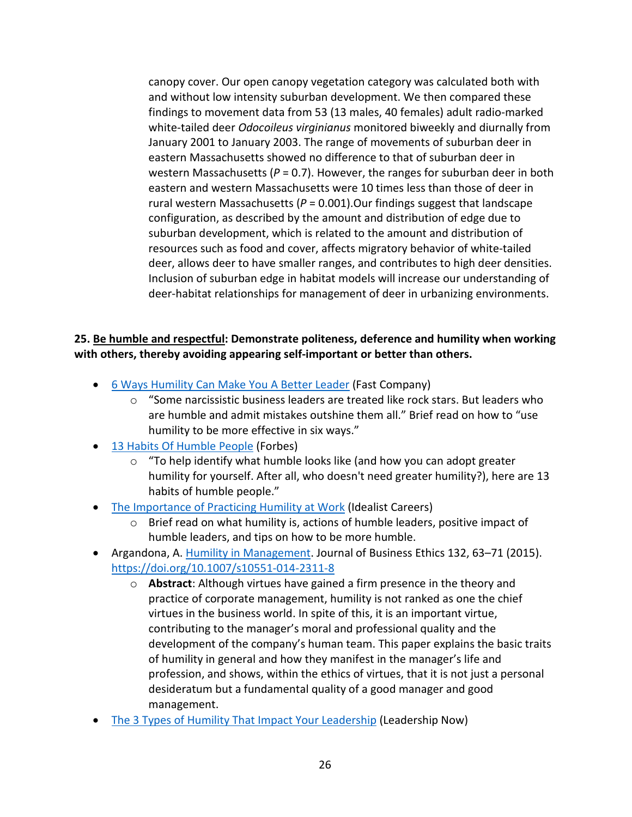canopy cover. Our open canopy vegetation category was calculated both with and without low intensity suburban development. We then compared these findings to movement data from 53 (13 males, 40 females) adult radio-marked white-tailed deer *Odocoileus virginianus* monitored biweekly and diurnally from January 2001 to January 2003. The range of movements of suburban deer in eastern Massachusetts showed no difference to that of suburban deer in western Massachusetts ( $P = 0.7$ ). However, the ranges for suburban deer in both eastern and western Massachusetts were 10 times less than those of deer in rural western Massachusetts (*P* = 0.001).Our findings suggest that landscape configuration, as described by the amount and distribution of edge due to suburban development, which is related to the amount and distribution of resources such as food and cover, affects migratory behavior of white-tailed deer, allows deer to have smaller ranges, and contributes to high deer densities. Inclusion of suburban edge in habitat models will increase our understanding of deer-habitat relationships for management of deer in urbanizing environments.

#### **25. Be humble and respectful: Demonstrate politeness, deference and humility when working with others, thereby avoiding appearing self-important or better than others.**

- [6 Ways Humility Can Make You A Better Leader](https://www.fastcompany.com/3034144/6-ways-humility-can-make-you-a-better-leader) (Fast Company)
	- $\circ$  "Some narcissistic business leaders are treated like rock stars. But leaders who are humble and admit mistakes outshine them all." Brief read on how to "use humility to be more effective in six ways."
- [13 Habits Of Humble People](https://www.forbes.com/sites/jeffboss/2015/03/01/13-habits-of-humble-people/#1368f20449d5) (Forbes)
	- o "To help identify what humble looks like (and how you can adopt greater humility for yourself. After all, who doesn't need greater humility?), here are 13 habits of humble people."
- [The Importance of Practicing Humility at Work](https://idealistcareers.org/humility-at-work/) (Idealist Careers)
	- $\circ$  Brief read on what humility is, actions of humble leaders, positive impact of humble leaders, and tips on how to be more humble.
- Argandona, A. [Humility in Management.](https://link.springer.com/article/10.1007/s10551-014-2311-8) Journal of Business Ethics 132, 63–71 (2015). <https://doi.org/10.1007/s10551-014-2311-8>
	- o **Abstract**: Although virtues have gained a firm presence in the theory and practice of corporate management, humility is not ranked as one the chief virtues in the business world. In spite of this, it is an important virtue, contributing to the manager's moral and professional quality and the development of the company's human team. This paper explains the basic traits of humility in general and how they manifest in the manager's life and profession, and shows, within the ethics of virtues, that it is not just a personal desideratum but a fundamental quality of a good manager and good management.
- [The 3 Types of Humility That Impact Your Leadership](https://www.leadershipnow.com/leadingblog/2020/04/the_3_types_of_humility_that_i.html) (Leadership Now)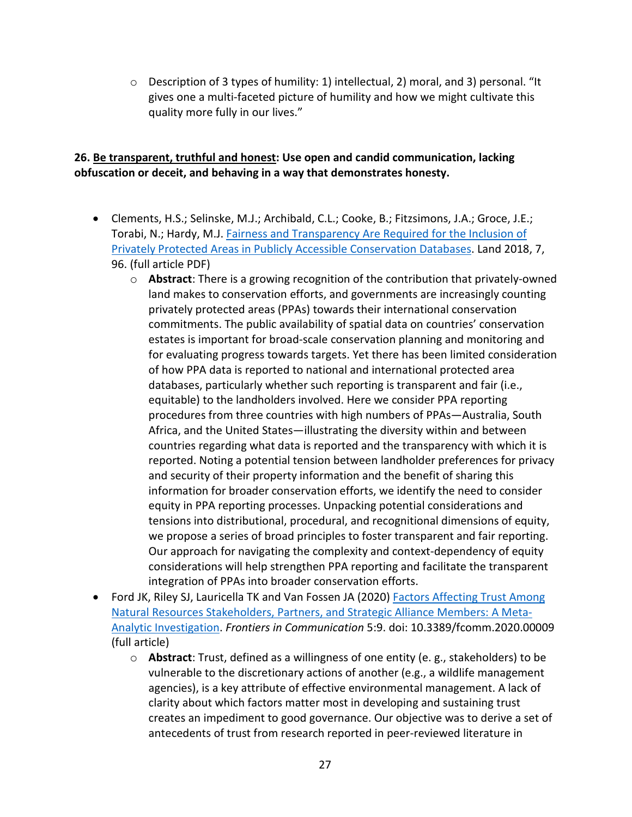$\circ$  Description of 3 types of humility: 1) intellectual, 2) moral, and 3) personal. "It gives one a multi-faceted picture of humility and how we might cultivate this quality more fully in our lives."

#### **26. Be transparent, truthful and honest: Use open and candid communication, lacking obfuscation or deceit, and behaving in a way that demonstrates honesty.**

- Clements, H.S.; Selinske, M.J.; Archibald, C.L.; Cooke, B.; Fitzsimons, J.A.; Groce, J.E.; Torabi, N.; Hardy, M.J. Fairness and Transparency Are Required for the Inclusion of [Privately Protected Areas in Publicly Accessible Conservation Databases.](https://www.mdpi.com/2073-445X/7/3/96/htm) Land 2018, 7, 96. (full article PDF)
	- o **Abstract**: There is a growing recognition of the contribution that privately-owned land makes to conservation efforts, and governments are increasingly counting privately protected areas (PPAs) towards their international conservation commitments. The public availability of spatial data on countries' conservation estates is important for broad-scale conservation planning and monitoring and for evaluating progress towards targets. Yet there has been limited consideration of how PPA data is reported to national and international protected area databases, particularly whether such reporting is transparent and fair (i.e., equitable) to the landholders involved. Here we consider PPA reporting procedures from three countries with high numbers of PPAs—Australia, South Africa, and the United States—illustrating the diversity within and between countries regarding what data is reported and the transparency with which it is reported. Noting a potential tension between landholder preferences for privacy and security of their property information and the benefit of sharing this information for broader conservation efforts, we identify the need to consider equity in PPA reporting processes. Unpacking potential considerations and tensions into distributional, procedural, and recognitional dimensions of equity, we propose a series of broad principles to foster transparent and fair reporting. Our approach for navigating the complexity and context-dependency of equity considerations will help strengthen PPA reporting and facilitate the transparent integration of PPAs into broader conservation efforts.
- Ford JK, Riley SJ, Lauricella TK and Van Fossen JA (2020) Factors Affecting Trust Among [Natural Resources Stakeholders, Partners, and Strategic Alliance Members: A Meta-](https://www.frontiersin.org/articles/10.3389/fcomm.2020.00009/full)[Analytic Investigation.](https://www.frontiersin.org/articles/10.3389/fcomm.2020.00009/full) *Frontiers in Communication* 5:9. doi: 10.3389/fcomm.2020.00009 (full article)
	- o **Abstract**: Trust, defined as a willingness of one entity (e. g., stakeholders) to be vulnerable to the discretionary actions of another (e.g., a wildlife management agencies), is a key attribute of effective environmental management. A lack of clarity about which factors matter most in developing and sustaining trust creates an impediment to good governance. Our objective was to derive a set of antecedents of trust from research reported in peer-reviewed literature in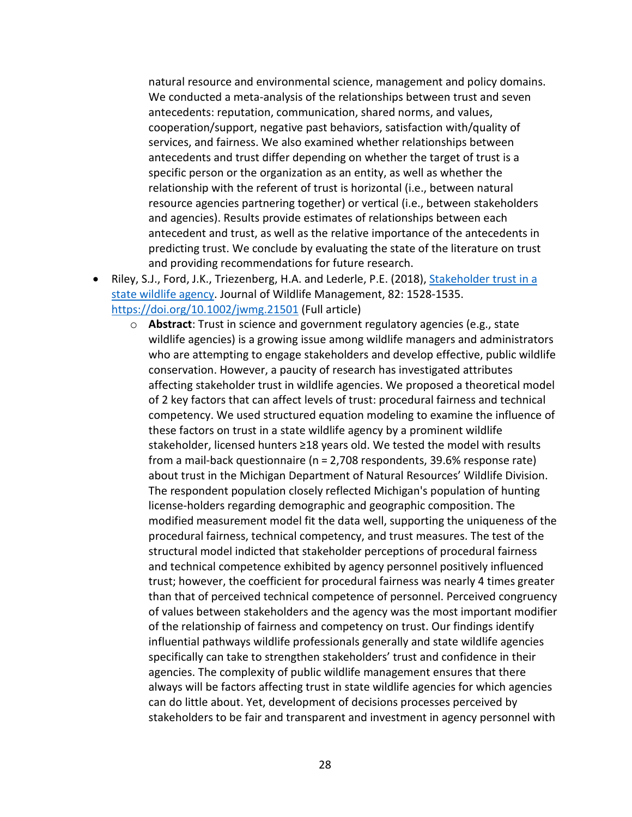natural resource and environmental science, management and policy domains. We conducted a meta-analysis of the relationships between trust and seven antecedents: reputation, communication, shared norms, and values, cooperation/support, negative past behaviors, satisfaction with/quality of services, and fairness. We also examined whether relationships between antecedents and trust differ depending on whether the target of trust is a specific person or the organization as an entity, as well as whether the relationship with the referent of trust is horizontal (i.e., between natural resource agencies partnering together) or vertical (i.e., between stakeholders and agencies). Results provide estimates of relationships between each antecedent and trust, as well as the relative importance of the antecedents in predicting trust. We conclude by evaluating the state of the literature on trust and providing recommendations for future research.

- Riley, S.J., Ford, J.K., Triezenberg, H.A. and Lederle, P.E. (2018), [Stakeholder trust in a](https://wildlife.onlinelibrary.wiley.com/doi/full/10.1002/jwmg.21501)  [state wildlife agency.](https://wildlife.onlinelibrary.wiley.com/doi/full/10.1002/jwmg.21501) Journal of Wildlife Management, 82: 1528-1535. <https://doi.org/10.1002/jwmg.21501> (Full article)
	- o **Abstract**: Trust in science and government regulatory agencies (e.g., state wildlife agencies) is a growing issue among wildlife managers and administrators who are attempting to engage stakeholders and develop effective, public wildlife conservation. However, a paucity of research has investigated attributes affecting stakeholder trust in wildlife agencies. We proposed a theoretical model of 2 key factors that can affect levels of trust: procedural fairness and technical competency. We used structured equation modeling to examine the influence of these factors on trust in a state wildlife agency by a prominent wildlife stakeholder, licensed hunters ≥18 years old. We tested the model with results from a mail‐back questionnaire (n = 2,708 respondents, 39.6% response rate) about trust in the Michigan Department of Natural Resources' Wildlife Division. The respondent population closely reflected Michigan's population of hunting license-holders regarding demographic and geographic composition. The modified measurement model fit the data well, supporting the uniqueness of the procedural fairness, technical competency, and trust measures. The test of the structural model indicted that stakeholder perceptions of procedural fairness and technical competence exhibited by agency personnel positively influenced trust; however, the coefficient for procedural fairness was nearly 4 times greater than that of perceived technical competence of personnel. Perceived congruency of values between stakeholders and the agency was the most important modifier of the relationship of fairness and competency on trust. Our findings identify influential pathways wildlife professionals generally and state wildlife agencies specifically can take to strengthen stakeholders' trust and confidence in their agencies. The complexity of public wildlife management ensures that there always will be factors affecting trust in state wildlife agencies for which agencies can do little about. Yet, development of decisions processes perceived by stakeholders to be fair and transparent and investment in agency personnel with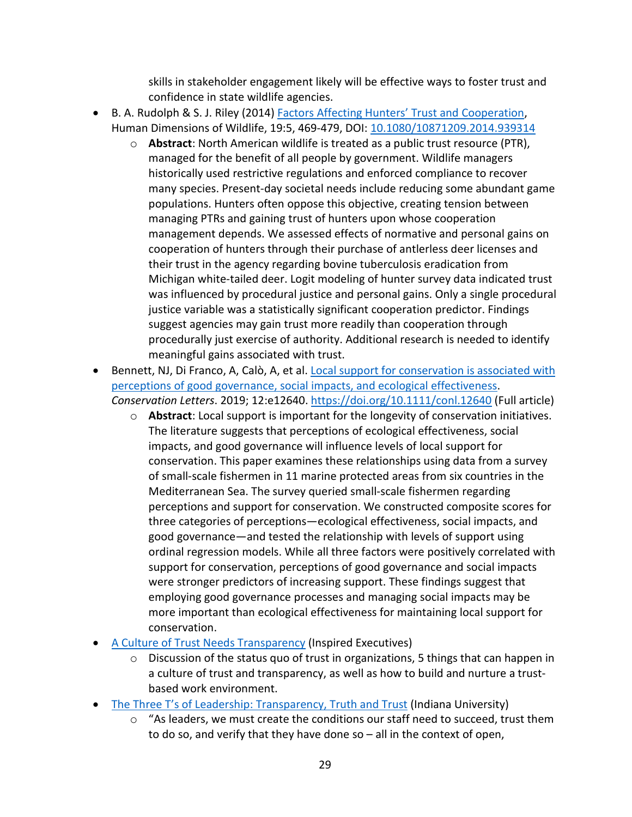skills in stakeholder engagement likely will be effective ways to foster trust and confidence in state wildlife agencies.

- B. A. Rudolph & S. J. Riley (2014[\) Factors Affecting Hunters' Trust and Cooperation,](https://www.tandfonline.com/doi/abs/10.1080/10871209.2014.939314) Human Dimensions of Wildlife, 19:5, 469-479, DOI: [10.1080/10871209.2014.939314](https://doi.org/10.1080/10871209.2014.939314)
	- o **Abstract**: North American wildlife is treated as a public trust resource (PTR), managed for the benefit of all people by government. Wildlife managers historically used restrictive regulations and enforced compliance to recover many species. Present-day societal needs include reducing some abundant game populations. Hunters often oppose this objective, creating tension between managing PTRs and gaining trust of hunters upon whose cooperation management depends. We assessed effects of normative and personal gains on cooperation of hunters through their purchase of antlerless deer licenses and their trust in the agency regarding bovine tuberculosis eradication from Michigan white-tailed deer. Logit modeling of hunter survey data indicated trust was influenced by procedural justice and personal gains. Only a single procedural justice variable was a statistically significant cooperation predictor. Findings suggest agencies may gain trust more readily than cooperation through procedurally just exercise of authority. Additional research is needed to identify meaningful gains associated with trust.
- Bennett, NJ, Di Franco, A, Calò, A, et al. [Local support for conservation is associated with](https://conbio.onlinelibrary.wiley.com/doi/full/10.1111/conl.12640)  [perceptions of good governance, social impacts, and ecological effectiveness.](https://conbio.onlinelibrary.wiley.com/doi/full/10.1111/conl.12640) *Conservation Letters*. 2019; 12:e12640.<https://doi.org/10.1111/conl.12640> (Full article)
	- o **Abstract**: Local support is important for the longevity of conservation initiatives. The literature suggests that perceptions of ecological effectiveness, social impacts, and good governance will influence levels of local support for conservation. This paper examines these relationships using data from a survey of small-scale fishermen in 11 marine protected areas from six countries in the Mediterranean Sea. The survey queried small-scale fishermen regarding perceptions and support for conservation. We constructed composite scores for three categories of perceptions—ecological effectiveness, social impacts, and good governance—and tested the relationship with levels of support using ordinal regression models. While all three factors were positively correlated with support for conservation, perceptions of good governance and social impacts were stronger predictors of increasing support. These findings suggest that employing good governance processes and managing social impacts may be more important than ecological effectiveness for maintaining local support for conservation.
- [A Culture of Trust Needs Transparency](https://www.inspired-executives.com/a-culture-of-trust-needs-transparency/) (Inspired Executives)
	- o Discussion of the status quo of trust in organizations, 5 things that can happen in a culture of trust and transparency, as well as how to build and nurture a trustbased work environment.
- [The Three T's of Leadership: Transparency, Truth and Trust](https://blogs.iu.edu/iuitlc/2019/02/12/the-three-ts-of-leadership-transparency-truth-and-trust/) (Indiana University)
	- o "As leaders, we must create the conditions our staff need to succeed, trust them to do so, and verify that they have done so – all in the context of open,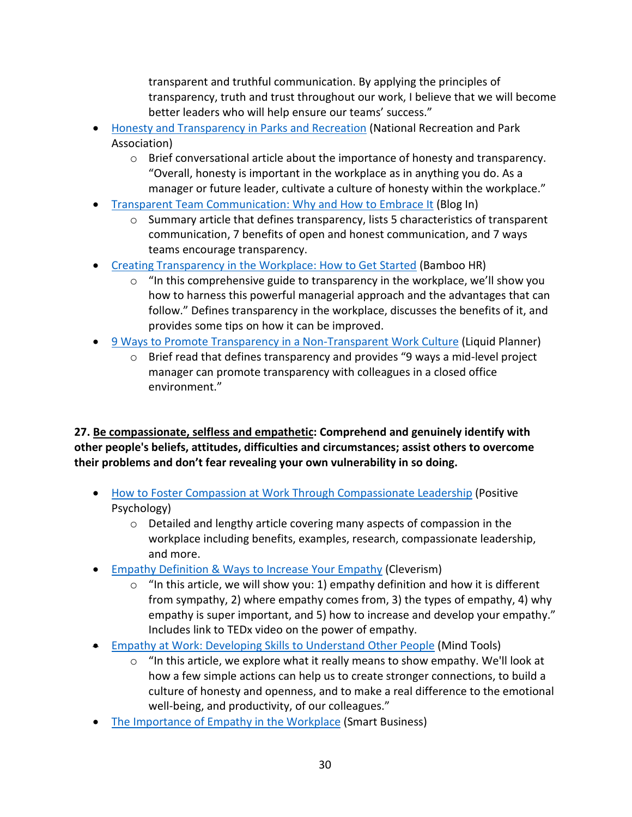transparent and truthful communication. By applying the principles of transparency, truth and trust throughout our work, I believe that we will become better leaders who will help ensure our teams' success."

- [Honesty and Transparency in](https://www.nrpa.org/parks-recreation-magazine/2018/june/honesty-and-transparency-in-parks-and-recreation/) Parks and Recreation (National Recreation and Park Association)
	- o Brief conversational article about the importance of honesty and transparency. "Overall, honesty is important in the workplace as in anything you do. As a manager or future leader, cultivate a culture of honesty within the workplace."
- [Transparent Team Communication: Why and How to Embrace It](https://blogin.co/blog/transparent-team-communication-why-and-how-to-embrace-it-69/) (Blog In)
	- $\circ$  Summary article that defines transparency, lists 5 characteristics of transparent communication, 7 benefits of open and honest communication, and 7 ways teams encourage transparency.
- [Creating Transparency in the Workplace: How to Get Started](https://www.bamboohr.com/blog/creating-transparency-in-workplace/) (Bamboo HR)
	- $\circ$  "In this comprehensive guide to transparency in the workplace, we'll show you how to harness this powerful managerial approach and the advantages that can follow." Defines transparency in the workplace, discusses the benefits of it, and provides some tips on how it can be improved.
- [9 Ways to Promote Transparency in a Non-Transparent Work Culture](https://www.liquidplanner.com/blog/9-ways-promote-transparency-non-transparent-work-culture/) (Liquid Planner)
	- o Brief read that defines transparency and provides "9 ways a mid-level project manager can promote transparency with colleagues in a closed office environment."

**27. Be compassionate, selfless and empathetic: Comprehend and genuinely identify with other people's beliefs, attitudes, difficulties and circumstances; assist others to overcome their problems and don't fear revealing your own vulnerability in so doing.**

- [How to Foster Compassion at Work Through Compassionate Leadership](https://positivepsychology.com/compassion-at-work-leadership/) (Positive Psychology)
	- o Detailed and lengthy article covering many aspects of compassion in the workplace including benefits, examples, research, compassionate leadership, and more.
- [Empathy Definition & Ways to Increase Your Empathy](https://www.cleverism.com/empathy-definition-ways-increase-empathy/) (Cleverism)
	- $\circ$  "In this article, we will show you: 1) empathy definition and how it is different from sympathy, 2) where empathy comes from, 3) the types of empathy, 4) why empathy is super important, and 5) how to increase and develop your empathy." Includes link to TEDx video on the power of empathy.
- [Empathy at Work: Developing Skills to Understand Other People](https://www.mindtools.com/pages/article/EmpathyatWork.htm) (Mind Tools)
	- $\circ$  "In this article, we explore what it really means to show empathy. We'll look at how a few simple actions can help us to create stronger connections, to build a culture of honesty and openness, and to make a real difference to the emotional well-being, and productivity, of our colleagues."
- [The Importance of Empathy in the Workplace](https://www.sbnonline.com/article/the-importance-of-empathy-in-the-workplace/) (Smart Business)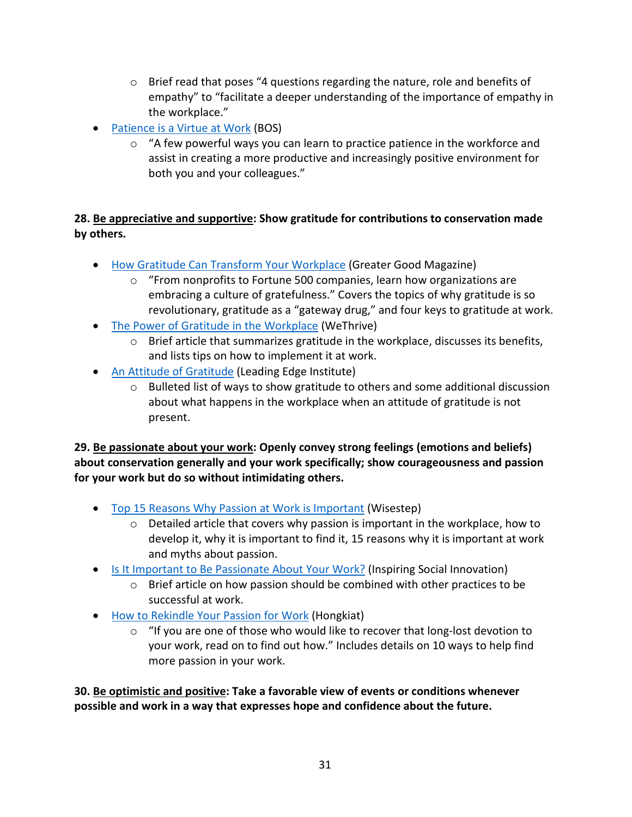- $\circ$  Brief read that poses "4 questions regarding the nature, role and benefits of empathy" to "facilitate a deeper understanding of the importance of empathy in the workplace."
- [Patience is a Virtue at Work](https://www.bos.com/inspired/patience-is-a-virtue-at-work/) (BOS)
	- $\circ$  "A few powerful ways you can learn to practice patience in the workforce and assist in creating a more productive and increasingly positive environment for both you and your colleagues."

#### **28. Be appreciative and supportive: Show gratitude for contributions to conservation made by others.**

- [How Gratitude Can Transform Your Workplace](https://greatergood.berkeley.edu/article/item/how_gratitude_can_transform_your_workplace) (Greater Good Magazine)
	- "From nonprofits to Fortune 500 companies, learn how organizations are embracing a culture of gratefulness." Covers the topics of why gratitude is so revolutionary, gratitude as a "gateway drug," and four keys to gratitude at work.
- [The Power of Gratitude in the Workplace](https://wethrive.net/blog/power-gratitude-workplace/) (WeThrive)
	- $\circ$  Brief article that summarizes gratitude in the workplace, discusses its benefits, and lists tips on how to implement it at work.
- [An Attitude of Gratitude](https://leadingedgeinst.com/attitude-of-gratitude/) (Leading Edge Institute)
	- $\circ$  Bulleted list of ways to show gratitude to others and some additional discussion about what happens in the workplace when an attitude of gratitude is not present.

**29. Be passionate about your work: Openly convey strong feelings (emotions and beliefs) about conservation generally and your work specifically; show courageousness and passion for your work but do so without intimidating others.**

- [Top 15 Reasons Why Passion at Work is Important](https://content.wisestep.com/passion-at-work/) (Wisestep)
	- $\circ$  Detailed article that covers why passion is important in the workplace, how to develop it, why it is important to find it, 15 reasons why it is important at work and myths about passion.
- [Is It Important to Be Passionate About Your Work?](http://www.hispanicpros.com/is-it-important-to-be-passionate-about-your-work) (Inspiring Social Innovation)
	- $\circ$  Brief article on how passion should be combined with other practices to be successful at work.
- [How to Rekindle Your Passion for Work](https://www.hongkiat.com/blog/rekindle-work-passion/) (Hongkiat)
	- $\circ$  "If you are one of those who would like to recover that long-lost devotion to your work, read on to find out how." Includes details on 10 ways to help find more passion in your work.

**30. Be optimistic and positive: Take a favorable view of events or conditions whenever possible and work in a way that expresses hope and confidence about the future.**